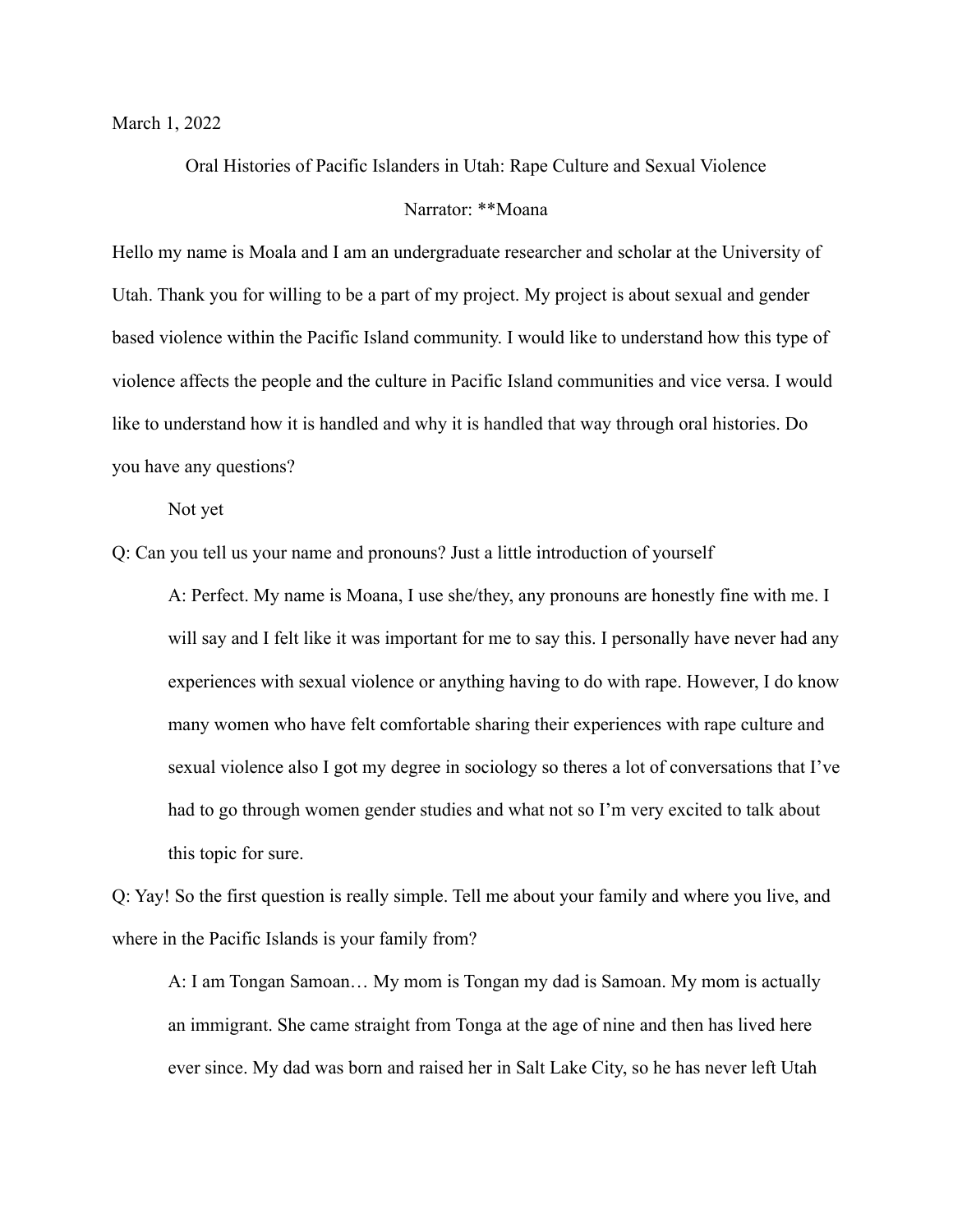March 1, 2022

Oral Histories of Pacific Islanders in Utah: Rape Culture and Sexual Violence

### Narrator: \*\*Moana

Hello my name is Moala and I am an undergraduate researcher and scholar at the University of Utah. Thank you for willing to be a part of my project. My project is about sexual and gender based violence within the Pacific Island community. I would like to understand how this type of violence affects the people and the culture in Pacific Island communities and vice versa. I would like to understand how it is handled and why it is handled that way through oral histories. Do you have any questions?

Not yet

Q: Can you tell us your name and pronouns? Just a little introduction of yourself

A: Perfect. My name is Moana, I use she/they, any pronouns are honestly fine with me. I will say and I felt like it was important for me to say this. I personally have never had any experiences with sexual violence or anything having to do with rape. However, I do know many women who have felt comfortable sharing their experiences with rape culture and sexual violence also I got my degree in sociology so theres a lot of conversations that I've had to go through women gender studies and what not so I'm very excited to talk about this topic for sure.

Q: Yay! So the first question is really simple. Tell me about your family and where you live, and where in the Pacific Islands is your family from?

A: I am Tongan Samoan… My mom is Tongan my dad is Samoan. My mom is actually an immigrant. She came straight from Tonga at the age of nine and then has lived here ever since. My dad was born and raised her in Salt Lake City, so he has never left Utah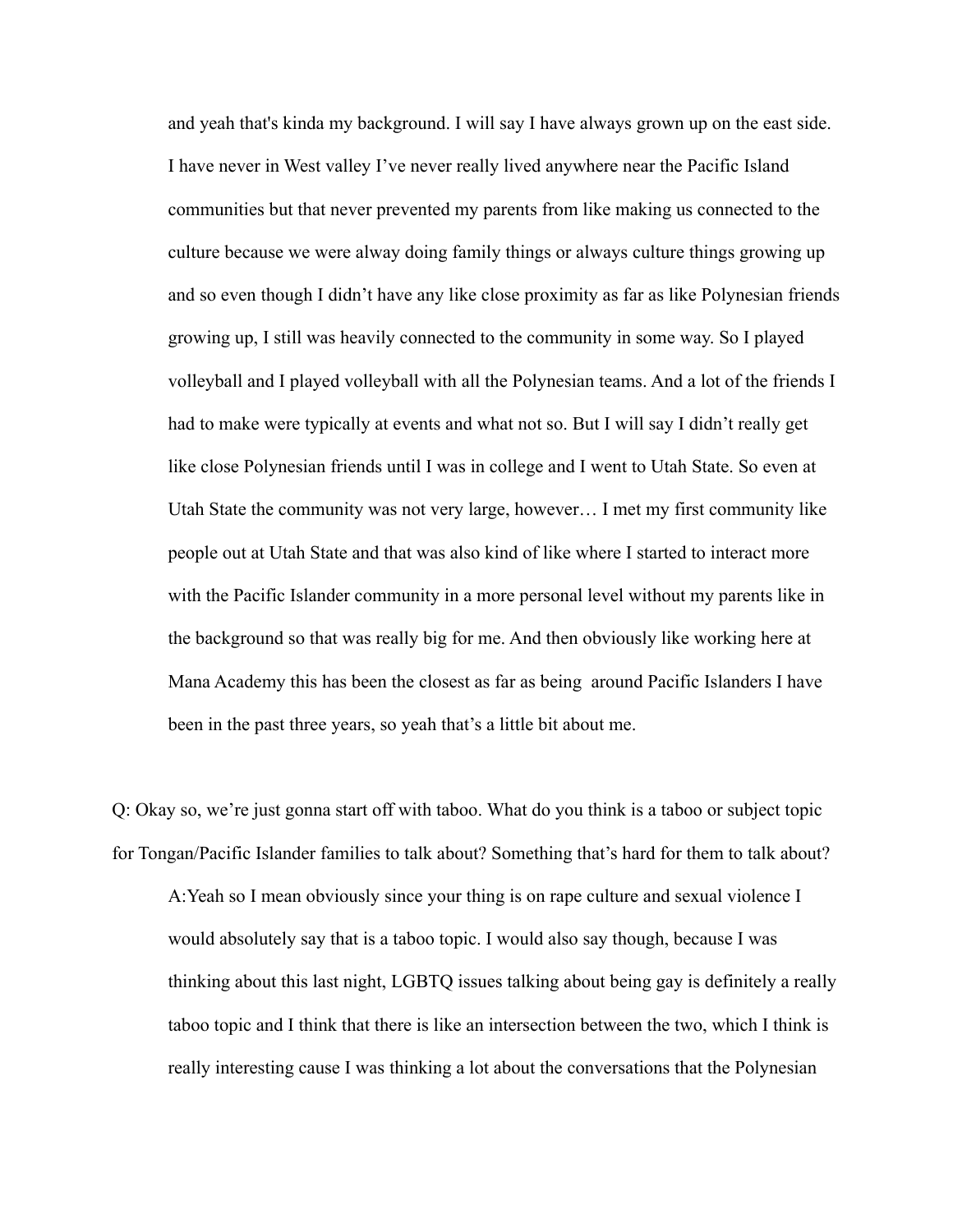and yeah that's kinda my background. I will say I have always grown up on the east side. I have never in West valley I've never really lived anywhere near the Pacific Island communities but that never prevented my parents from like making us connected to the culture because we were alway doing family things or always culture things growing up and so even though I didn't have any like close proximity as far as like Polynesian friends growing up, I still was heavily connected to the community in some way. So I played volleyball and I played volleyball with all the Polynesian teams. And a lot of the friends I had to make were typically at events and what not so. But I will say I didn't really get like close Polynesian friends until I was in college and I went to Utah State. So even at Utah State the community was not very large, however… I met my first community like people out at Utah State and that was also kind of like where I started to interact more with the Pacific Islander community in a more personal level without my parents like in the background so that was really big for me. And then obviously like working here at Mana Academy this has been the closest as far as being around Pacific Islanders I have been in the past three years, so yeah that's a little bit about me.

Q: Okay so, we're just gonna start off with taboo. What do you think is a taboo or subject topic for Tongan/Pacific Islander families to talk about? Something that's hard for them to talk about?

A:Yeah so I mean obviously since your thing is on rape culture and sexual violence I would absolutely say that is a taboo topic. I would also say though, because I was thinking about this last night, LGBTQ issues talking about being gay is definitely a really taboo topic and I think that there is like an intersection between the two, which I think is really interesting cause I was thinking a lot about the conversations that the Polynesian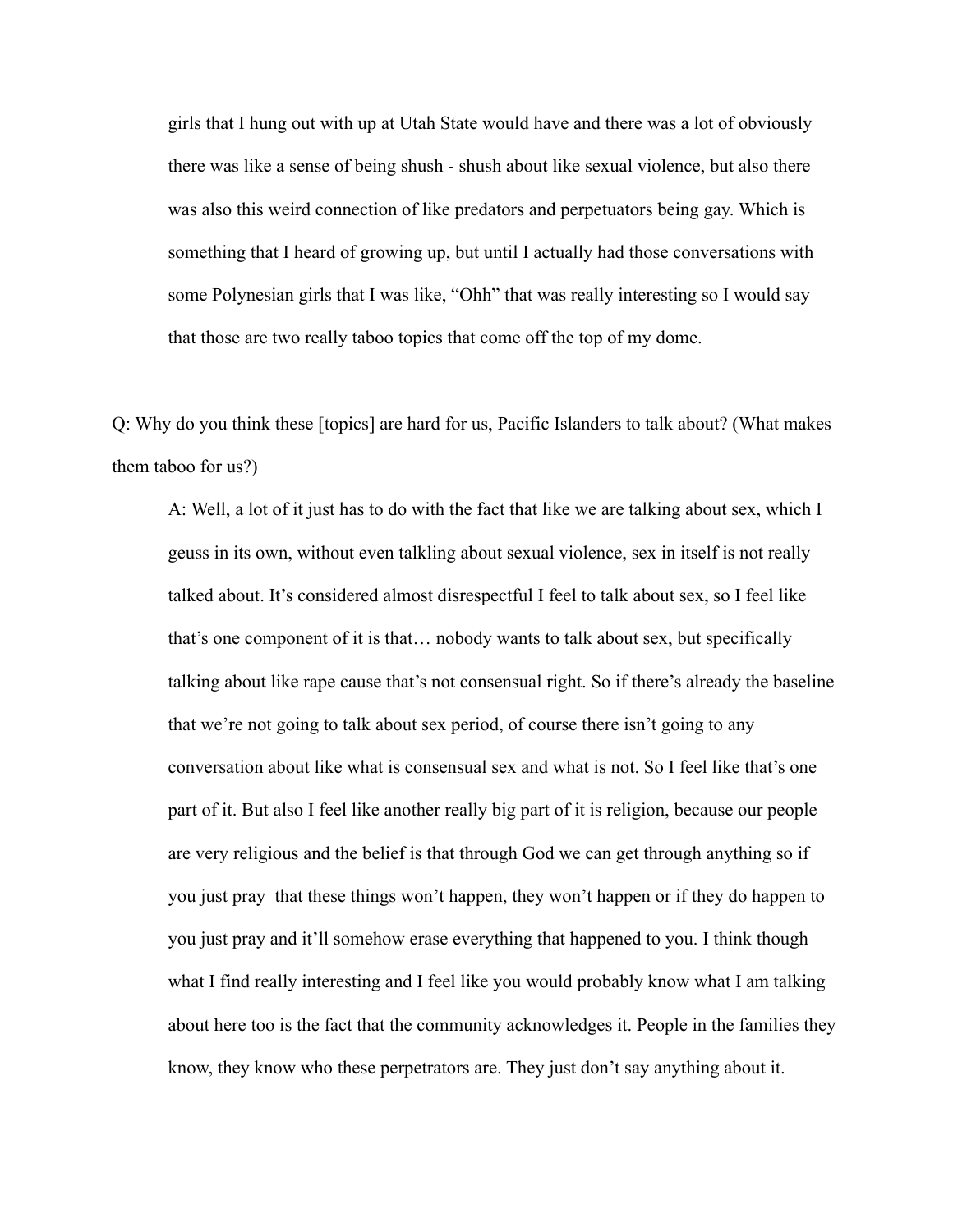girls that I hung out with up at Utah State would have and there was a lot of obviously there was like a sense of being shush - shush about like sexual violence, but also there was also this weird connection of like predators and perpetuators being gay. Which is something that I heard of growing up, but until I actually had those conversations with some Polynesian girls that I was like, "Ohh" that was really interesting so I would say that those are two really taboo topics that come off the top of my dome.

Q: Why do you think these [topics] are hard for us, Pacific Islanders to talk about? (What makes them taboo for us?)

A: Well, a lot of it just has to do with the fact that like we are talking about sex, which I geuss in its own, without even talkling about sexual violence, sex in itself is not really talked about. It's considered almost disrespectful I feel to talk about sex, so I feel like that's one component of it is that… nobody wants to talk about sex, but specifically talking about like rape cause that's not consensual right. So if there's already the baseline that we're not going to talk about sex period, of course there isn't going to any conversation about like what is consensual sex and what is not. So I feel like that's one part of it. But also I feel like another really big part of it is religion, because our people are very religious and the belief is that through God we can get through anything so if you just pray that these things won't happen, they won't happen or if they do happen to you just pray and it'll somehow erase everything that happened to you. I think though what I find really interesting and I feel like you would probably know what I am talking about here too is the fact that the community acknowledges it. People in the families they know, they know who these perpetrators are. They just don't say anything about it.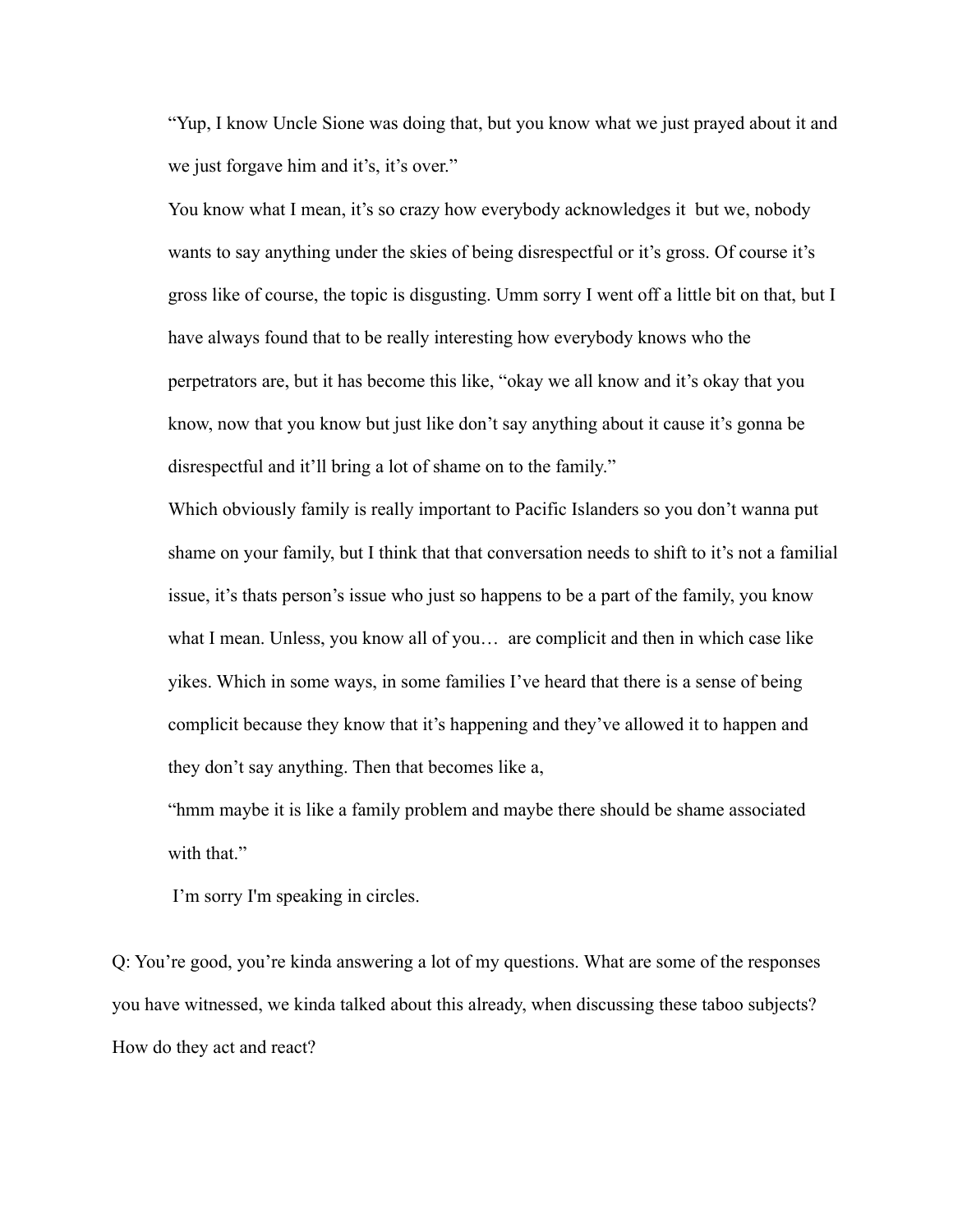"Yup, I know Uncle Sione was doing that, but you know what we just prayed about it and we just forgave him and it's, it's over."

You know what I mean, it's so crazy how everybody acknowledges it but we, nobody wants to say anything under the skies of being disrespectful or it's gross. Of course it's gross like of course, the topic is disgusting. Umm sorry I went off a little bit on that, but I have always found that to be really interesting how everybody knows who the perpetrators are, but it has become this like, "okay we all know and it's okay that you know, now that you know but just like don't say anything about it cause it's gonna be disrespectful and it'll bring a lot of shame on to the family."

Which obviously family is really important to Pacific Islanders so you don't wanna put shame on your family, but I think that that conversation needs to shift to it's not a familial issue, it's thats person's issue who just so happens to be a part of the family, you know what I mean. Unless, you know all of you… are complicit and then in which case like yikes. Which in some ways, in some families I've heard that there is a sense of being complicit because they know that it's happening and they've allowed it to happen and they don't say anything. Then that becomes like a,

"hmm maybe it is like a family problem and maybe there should be shame associated with that."

I'm sorry I'm speaking in circles.

Q: You're good, you're kinda answering a lot of my questions. What are some of the responses you have witnessed, we kinda talked about this already, when discussing these taboo subjects? How do they act and react?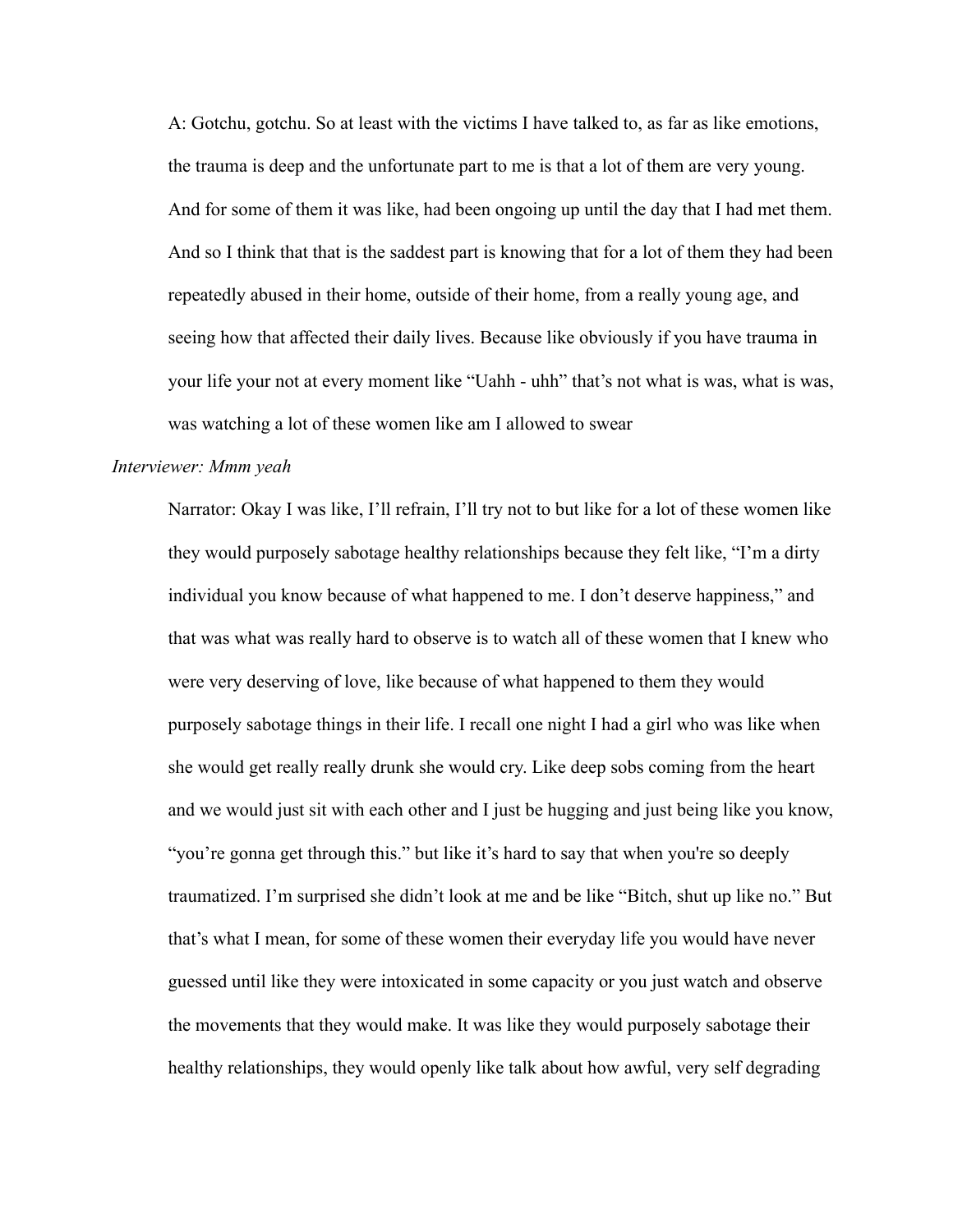A: Gotchu, gotchu. So at least with the victims I have talked to, as far as like emotions, the trauma is deep and the unfortunate part to me is that a lot of them are very young. And for some of them it was like, had been ongoing up until the day that I had met them. And so I think that that is the saddest part is knowing that for a lot of them they had been repeatedly abused in their home, outside of their home, from a really young age, and seeing how that affected their daily lives. Because like obviously if you have trauma in your life your not at every moment like "Uahh - uhh" that's not what is was, what is was, was watching a lot of these women like am I allowed to swear

### *Interviewer: Mmm yeah*

Narrator: Okay I was like, I'll refrain, I'll try not to but like for a lot of these women like they would purposely sabotage healthy relationships because they felt like, "I'm a dirty individual you know because of what happened to me. I don't deserve happiness," and that was what was really hard to observe is to watch all of these women that I knew who were very deserving of love, like because of what happened to them they would purposely sabotage things in their life. I recall one night I had a girl who was like when she would get really really drunk she would cry. Like deep sobs coming from the heart and we would just sit with each other and I just be hugging and just being like you know, "you're gonna get through this." but like it's hard to say that when you're so deeply traumatized. I'm surprised she didn't look at me and be like "Bitch, shut up like no." But that's what I mean, for some of these women their everyday life you would have never guessed until like they were intoxicated in some capacity or you just watch and observe the movements that they would make. It was like they would purposely sabotage their healthy relationships, they would openly like talk about how awful, very self degrading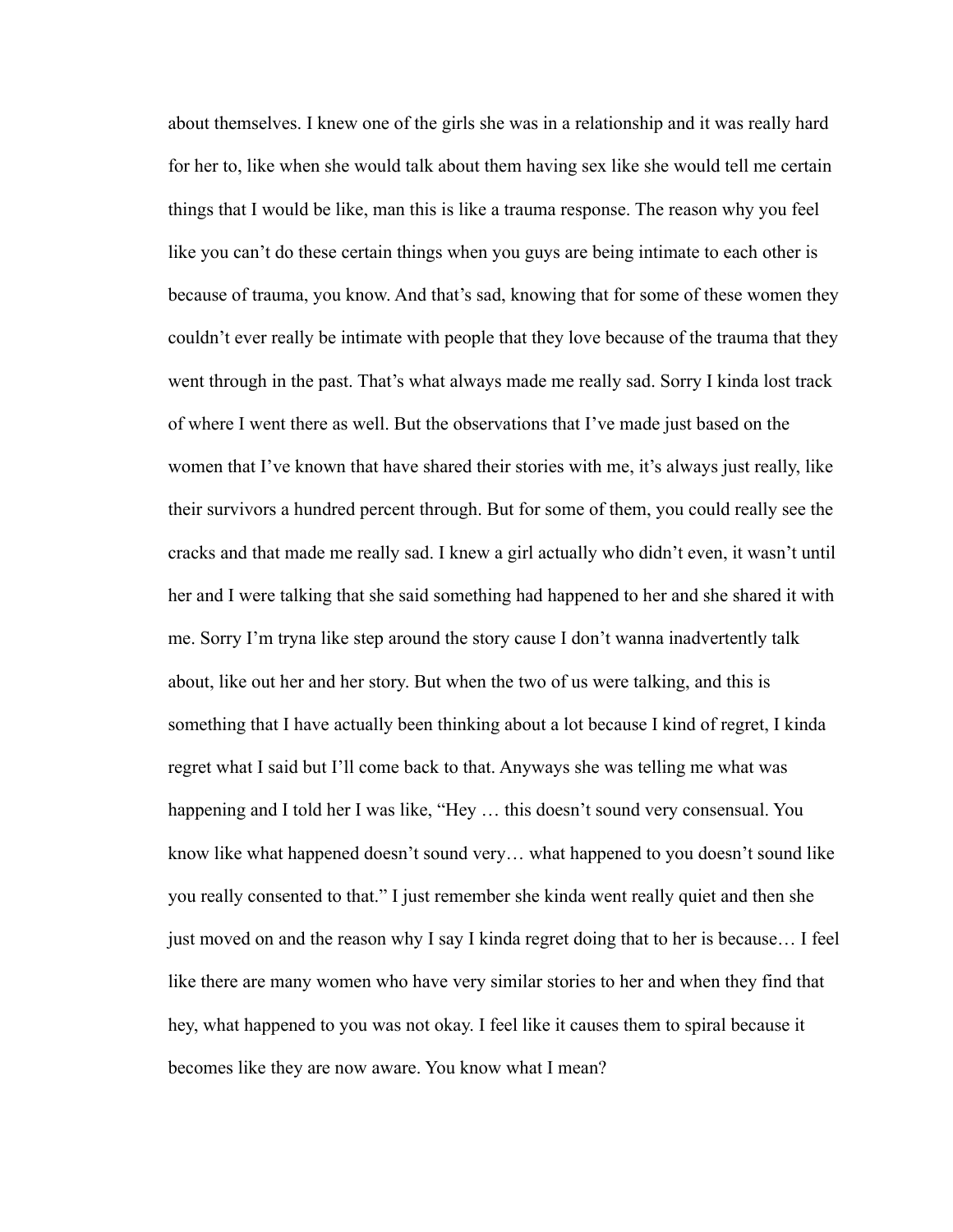about themselves. I knew one of the girls she was in a relationship and it was really hard for her to, like when she would talk about them having sex like she would tell me certain things that I would be like, man this is like a trauma response. The reason why you feel like you can't do these certain things when you guys are being intimate to each other is because of trauma, you know. And that's sad, knowing that for some of these women they couldn't ever really be intimate with people that they love because of the trauma that they went through in the past. That's what always made me really sad. Sorry I kinda lost track of where I went there as well. But the observations that I've made just based on the women that I've known that have shared their stories with me, it's always just really, like their survivors a hundred percent through. But for some of them, you could really see the cracks and that made me really sad. I knew a girl actually who didn't even, it wasn't until her and I were talking that she said something had happened to her and she shared it with me. Sorry I'm tryna like step around the story cause I don't wanna inadvertently talk about, like out her and her story. But when the two of us were talking, and this is something that I have actually been thinking about a lot because I kind of regret, I kinda regret what I said but I'll come back to that. Anyways she was telling me what was happening and I told her I was like, "Hey ... this doesn't sound very consensual. You know like what happened doesn't sound very… what happened to you doesn't sound like you really consented to that." I just remember she kinda went really quiet and then she just moved on and the reason why I say I kinda regret doing that to her is because… I feel like there are many women who have very similar stories to her and when they find that hey, what happened to you was not okay. I feel like it causes them to spiral because it becomes like they are now aware. You know what I mean?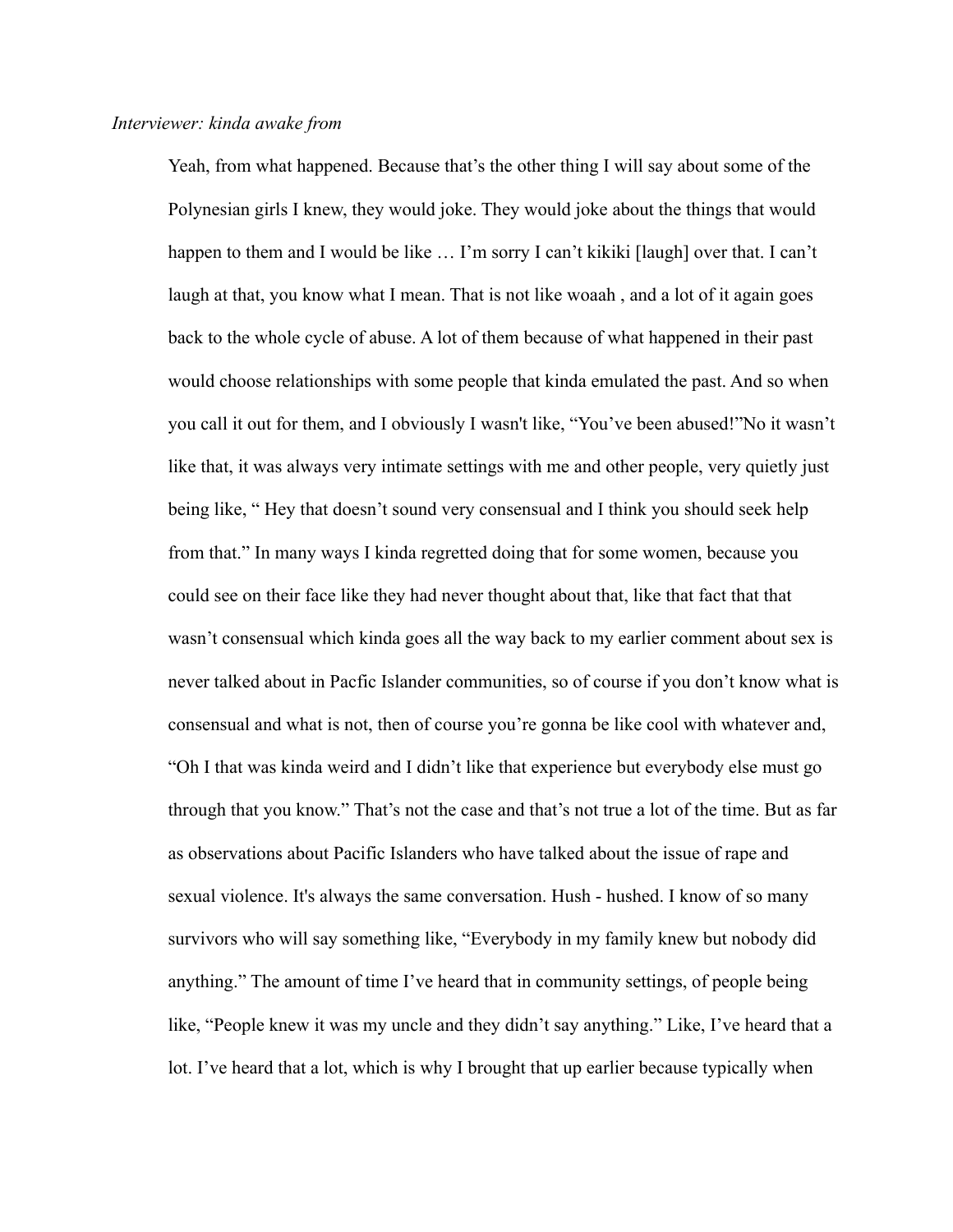Yeah, from what happened. Because that's the other thing I will say about some of the Polynesian girls I knew, they would joke. They would joke about the things that would happen to them and I would be like ... I'm sorry I can't kikiki [laugh] over that. I can't laugh at that, you know what I mean. That is not like woaah, and a lot of it again goes back to the whole cycle of abuse. A lot of them because of what happened in their past would choose relationships with some people that kinda emulated the past. And so when you call it out for them, and I obviously I wasn't like, "You've been abused!"No it wasn't like that, it was always very intimate settings with me and other people, very quietly just being like, " Hey that doesn't sound very consensual and I think you should seek help from that." In many ways I kinda regretted doing that for some women, because you could see on their face like they had never thought about that, like that fact that that wasn't consensual which kinda goes all the way back to my earlier comment about sex is never talked about in Pacfic Islander communities, so of course if you don't know what is consensual and what is not, then of course you're gonna be like cool with whatever and, "Oh I that was kinda weird and I didn't like that experience but everybody else must go through that you know." That's not the case and that's not true a lot of the time. But as far as observations about Pacific Islanders who have talked about the issue of rape and sexual violence. It's always the same conversation. Hush - hushed. I know of so many survivors who will say something like, "Everybody in my family knew but nobody did anything." The amount of time I've heard that in community settings, of people being like, "People knew it was my uncle and they didn't say anything." Like, I've heard that a lot. I've heard that a lot, which is why I brought that up earlier because typically when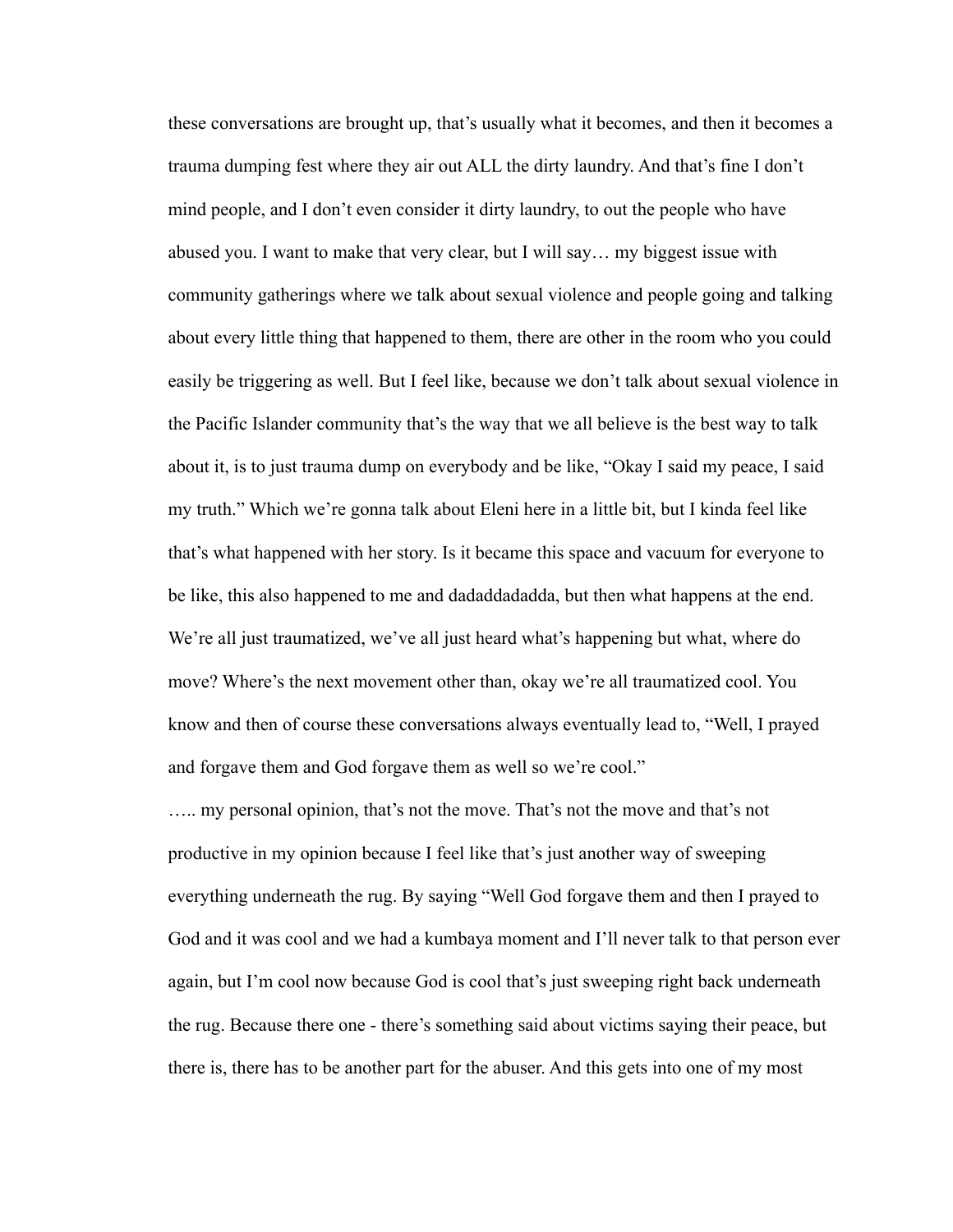these conversations are brought up, that's usually what it becomes, and then it becomes a trauma dumping fest where they air out ALL the dirty laundry. And that's fine I don't mind people, and I don't even consider it dirty laundry, to out the people who have abused you. I want to make that very clear, but I will say… my biggest issue with community gatherings where we talk about sexual violence and people going and talking about every little thing that happened to them, there are other in the room who you could easily be triggering as well. But I feel like, because we don't talk about sexual violence in the Pacific Islander community that's the way that we all believe is the best way to talk about it, is to just trauma dump on everybody and be like, "Okay I said my peace, I said my truth." Which we're gonna talk about Eleni here in a little bit, but I kinda feel like that's what happened with her story. Is it became this space and vacuum for everyone to be like, this also happened to me and dadaddadadda, but then what happens at the end. We're all just traumatized, we've all just heard what's happening but what, where do move? Where's the next movement other than, okay we're all traumatized cool. You know and then of course these conversations always eventually lead to, "Well, I prayed and forgave them and God forgave them as well so we're cool."

….. my personal opinion, that's not the move. That's not the move and that's not productive in my opinion because I feel like that's just another way of sweeping everything underneath the rug. By saying "Well God forgave them and then I prayed to God and it was cool and we had a kumbaya moment and I'll never talk to that person ever again, but I'm cool now because God is cool that's just sweeping right back underneath the rug. Because there one - there's something said about victims saying their peace, but there is, there has to be another part for the abuser. And this gets into one of my most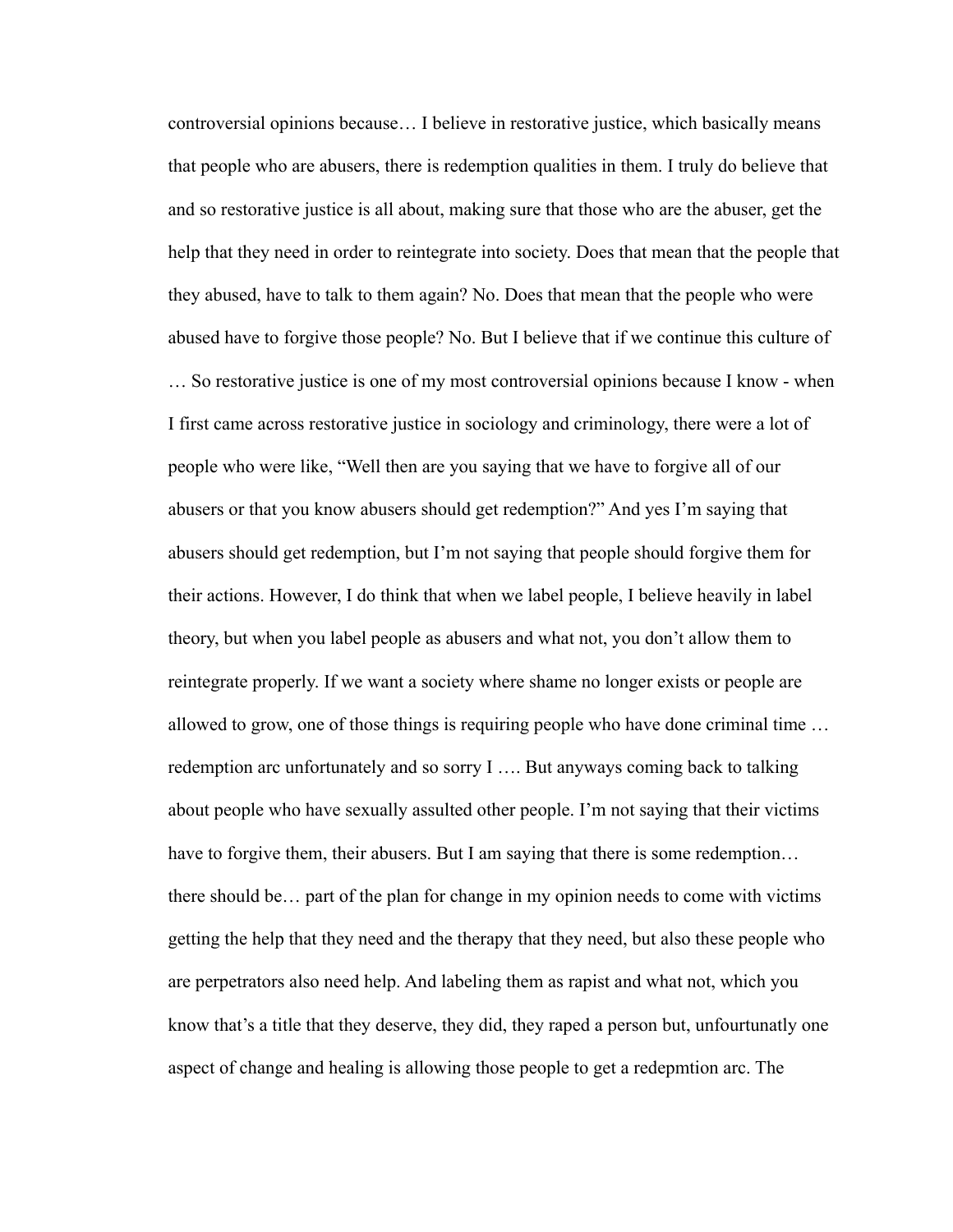controversial opinions because… I believe in restorative justice, which basically means that people who are abusers, there is redemption qualities in them. I truly do believe that and so restorative justice is all about, making sure that those who are the abuser, get the help that they need in order to reintegrate into society. Does that mean that the people that they abused, have to talk to them again? No. Does that mean that the people who were abused have to forgive those people? No. But I believe that if we continue this culture of

… So restorative justice is one of my most controversial opinions because I know - when I first came across restorative justice in sociology and criminology, there were a lot of people who were like, "Well then are you saying that we have to forgive all of our abusers or that you know abusers should get redemption?" And yes I'm saying that abusers should get redemption, but I'm not saying that people should forgive them for their actions. However, I do think that when we label people, I believe heavily in label theory, but when you label people as abusers and what not, you don't allow them to reintegrate properly. If we want a society where shame no longer exists or people are allowed to grow, one of those things is requiring people who have done criminal time … redemption arc unfortunately and so sorry I …. But anyways coming back to talking about people who have sexually assulted other people. I'm not saying that their victims have to forgive them, their abusers. But I am saying that there is some redemption... there should be… part of the plan for change in my opinion needs to come with victims getting the help that they need and the therapy that they need, but also these people who are perpetrators also need help. And labeling them as rapist and what not, which you know that's a title that they deserve, they did, they raped a person but, unfourtunatly one aspect of change and healing is allowing those people to get a redepmtion arc. The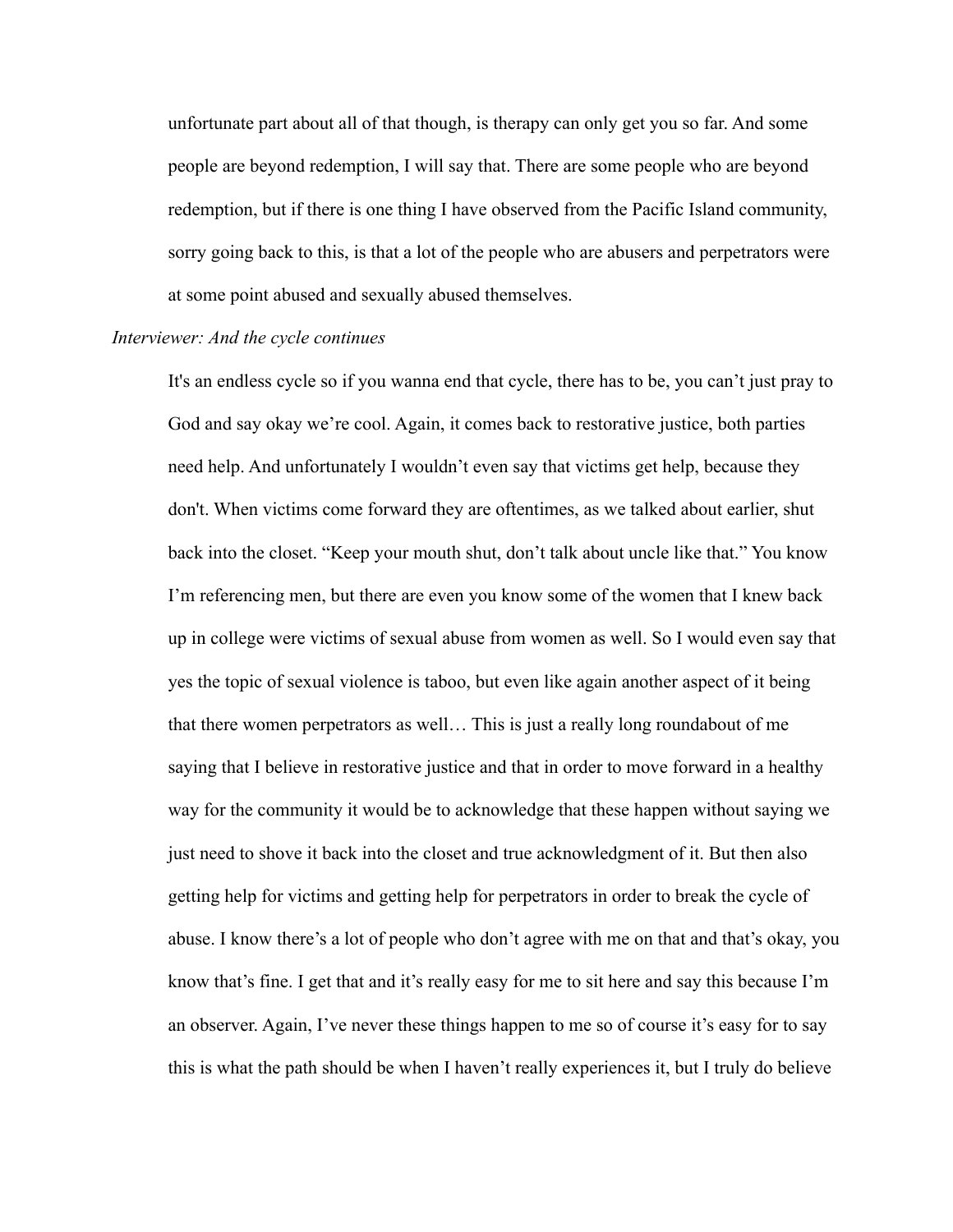unfortunate part about all of that though, is therapy can only get you so far. And some people are beyond redemption, I will say that. There are some people who are beyond redemption, but if there is one thing I have observed from the Pacific Island community, sorry going back to this, is that a lot of the people who are abusers and perpetrators were at some point abused and sexually abused themselves.

# *Interviewer: And the cycle continues*

It's an endless cycle so if you wanna end that cycle, there has to be, you can't just pray to God and say okay we're cool. Again, it comes back to restorative justice, both parties need help. And unfortunately I wouldn't even say that victims get help, because they don't. When victims come forward they are oftentimes, as we talked about earlier, shut back into the closet. "Keep your mouth shut, don't talk about uncle like that." You know I'm referencing men, but there are even you know some of the women that I knew back up in college were victims of sexual abuse from women as well. So I would even say that yes the topic of sexual violence is taboo, but even like again another aspect of it being that there women perpetrators as well… This is just a really long roundabout of me saying that I believe in restorative justice and that in order to move forward in a healthy way for the community it would be to acknowledge that these happen without saying we just need to shove it back into the closet and true acknowledgment of it. But then also getting help for victims and getting help for perpetrators in order to break the cycle of abuse. I know there's a lot of people who don't agree with me on that and that's okay, you know that's fine. I get that and it's really easy for me to sit here and say this because I'm an observer. Again, I've never these things happen to me so of course it's easy for to say this is what the path should be when I haven't really experiences it, but I truly do believe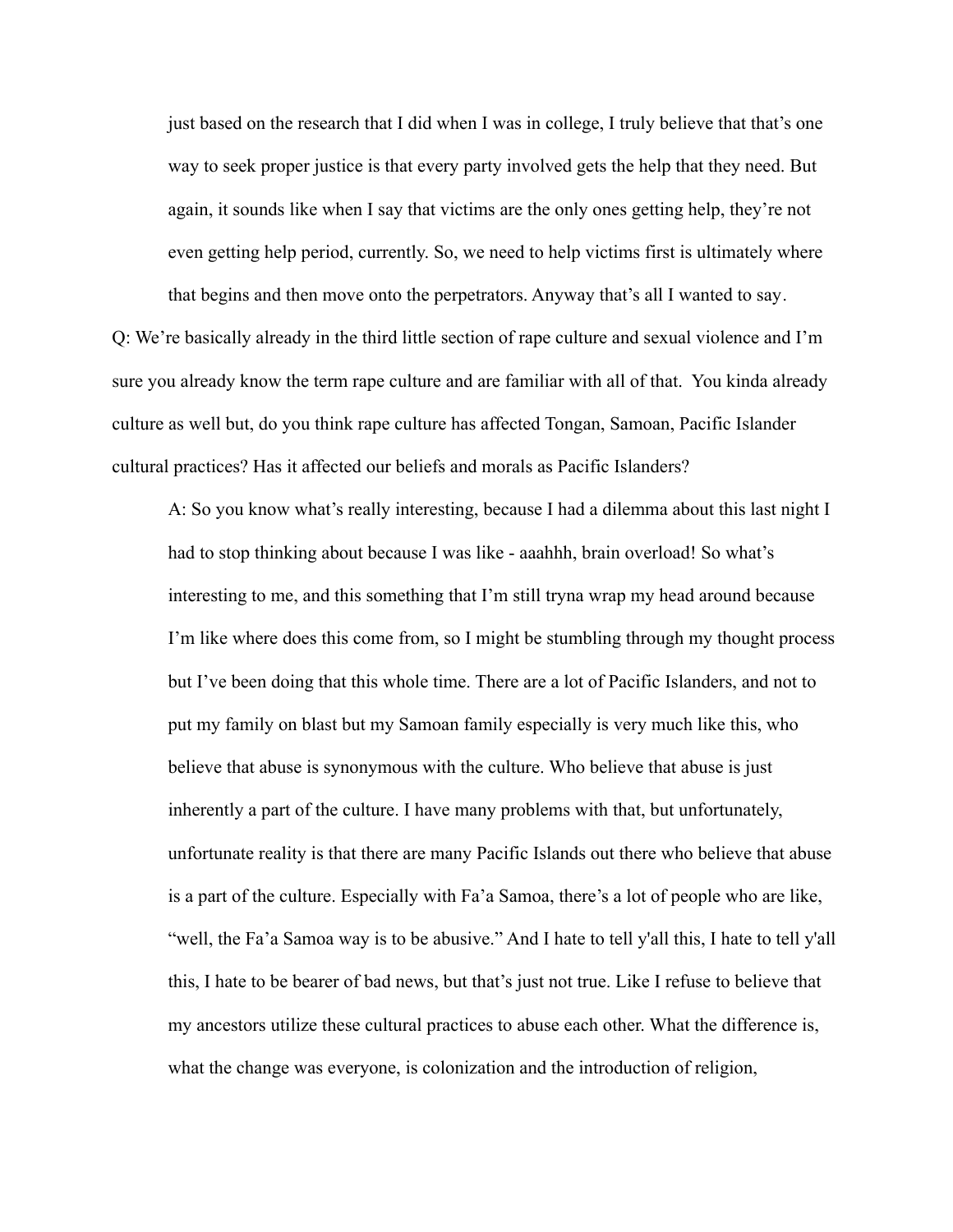just based on the research that I did when I was in college, I truly believe that that's one way to seek proper justice is that every party involved gets the help that they need. But again, it sounds like when I say that victims are the only ones getting help, they're not even getting help period, currently. So, we need to help victims first is ultimately where that begins and then move onto the perpetrators. Anyway that's all I wanted to say.

Q: We're basically already in the third little section of rape culture and sexual violence and I'm sure you already know the term rape culture and are familiar with all of that. You kinda already culture as well but, do you think rape culture has affected Tongan, Samoan, Pacific Islander cultural practices? Has it affected our beliefs and morals as Pacific Islanders?

A: So you know what's really interesting, because I had a dilemma about this last night I had to stop thinking about because I was like - aaahhh, brain overload! So what's interesting to me, and this something that I'm still tryna wrap my head around because I'm like where does this come from, so I might be stumbling through my thought process but I've been doing that this whole time. There are a lot of Pacific Islanders, and not to put my family on blast but my Samoan family especially is very much like this, who believe that abuse is synonymous with the culture. Who believe that abuse is just inherently a part of the culture. I have many problems with that, but unfortunately, unfortunate reality is that there are many Pacific Islands out there who believe that abuse is a part of the culture. Especially with Fa'a Samoa, there's a lot of people who are like, "well, the Fa'a Samoa way is to be abusive." And I hate to tell y'all this, I hate to tell y'all this, I hate to be bearer of bad news, but that's just not true. Like I refuse to believe that my ancestors utilize these cultural practices to abuse each other. What the difference is, what the change was everyone, is colonization and the introduction of religion,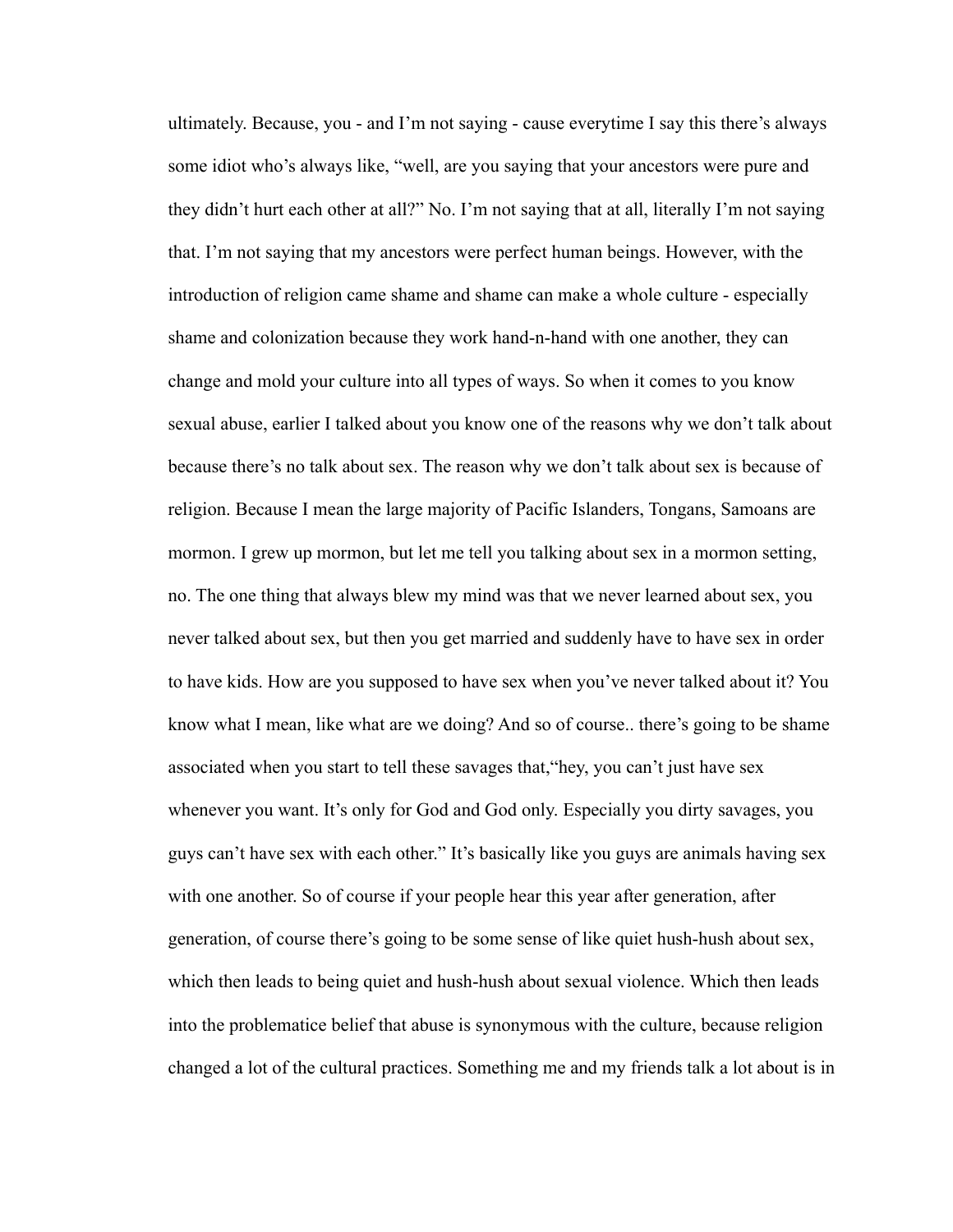ultimately. Because, you - and I'm not saying - cause everytime I say this there's always some idiot who's always like, "well, are you saying that your ancestors were pure and they didn't hurt each other at all?" No. I'm not saying that at all, literally I'm not saying that. I'm not saying that my ancestors were perfect human beings. However, with the introduction of religion came shame and shame can make a whole culture - especially shame and colonization because they work hand-n-hand with one another, they can change and mold your culture into all types of ways. So when it comes to you know sexual abuse, earlier I talked about you know one of the reasons why we don't talk about because there's no talk about sex. The reason why we don't talk about sex is because of religion. Because I mean the large majority of Pacific Islanders, Tongans, Samoans are mormon. I grew up mormon, but let me tell you talking about sex in a mormon setting, no. The one thing that always blew my mind was that we never learned about sex, you never talked about sex, but then you get married and suddenly have to have sex in order to have kids. How are you supposed to have sex when you've never talked about it? You know what I mean, like what are we doing? And so of course.. there's going to be shame associated when you start to tell these savages that,"hey, you can't just have sex whenever you want. It's only for God and God only. Especially you dirty savages, you guys can't have sex with each other." It's basically like you guys are animals having sex with one another. So of course if your people hear this year after generation, after generation, of course there's going to be some sense of like quiet hush-hush about sex, which then leads to being quiet and hush-hush about sexual violence. Which then leads into the problematice belief that abuse is synonymous with the culture, because religion changed a lot of the cultural practices. Something me and my friends talk a lot about is in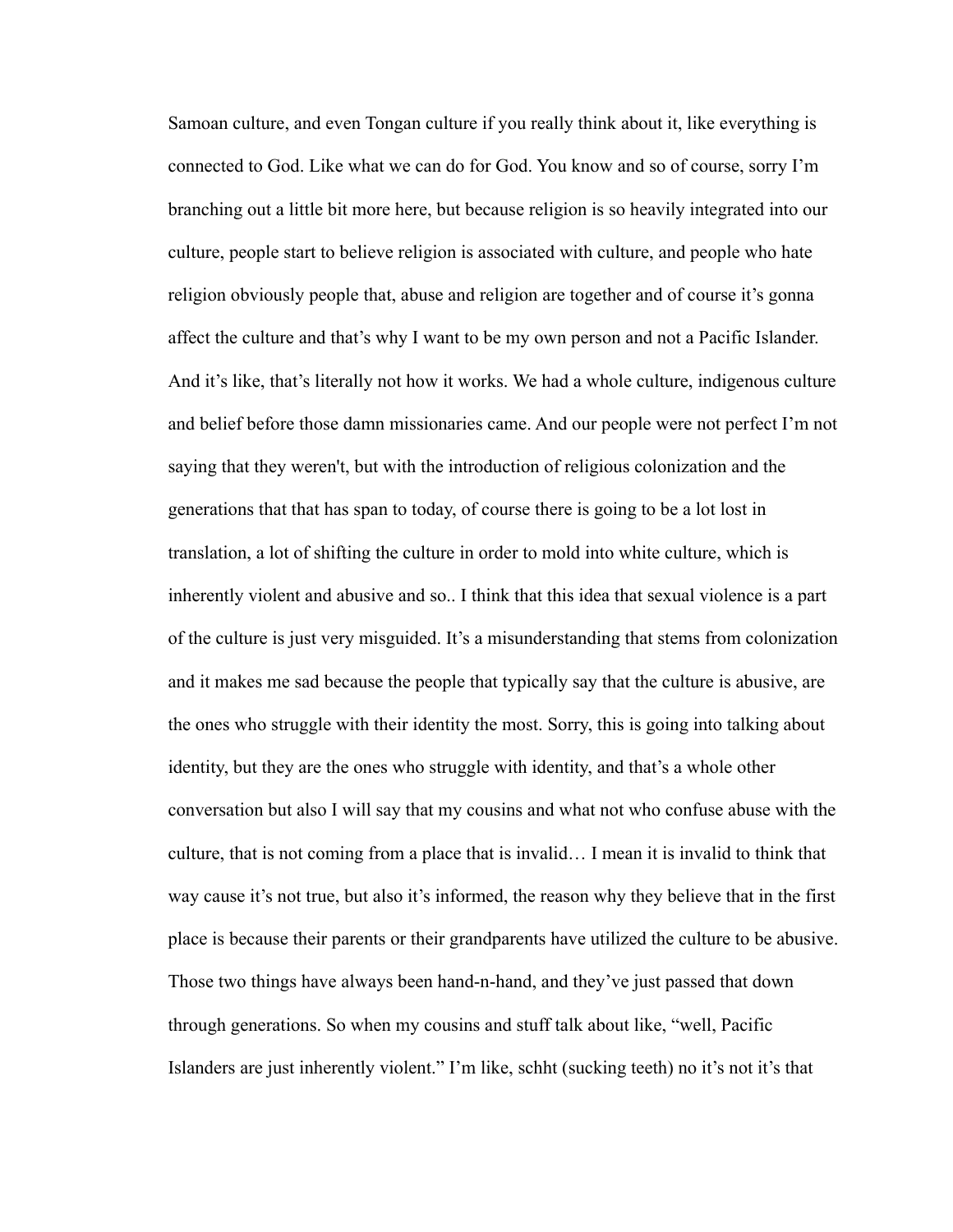Samoan culture, and even Tongan culture if you really think about it, like everything is connected to God. Like what we can do for God. You know and so of course, sorry I'm branching out a little bit more here, but because religion is so heavily integrated into our culture, people start to believe religion is associated with culture, and people who hate religion obviously people that, abuse and religion are together and of course it's gonna affect the culture and that's why I want to be my own person and not a Pacific Islander. And it's like, that's literally not how it works. We had a whole culture, indigenous culture and belief before those damn missionaries came. And our people were not perfect I'm not saying that they weren't, but with the introduction of religious colonization and the generations that that has span to today, of course there is going to be a lot lost in translation, a lot of shifting the culture in order to mold into white culture, which is inherently violent and abusive and so.. I think that this idea that sexual violence is a part of the culture is just very misguided. It's a misunderstanding that stems from colonization and it makes me sad because the people that typically say that the culture is abusive, are the ones who struggle with their identity the most. Sorry, this is going into talking about identity, but they are the ones who struggle with identity, and that's a whole other conversation but also I will say that my cousins and what not who confuse abuse with the culture, that is not coming from a place that is invalid… I mean it is invalid to think that way cause it's not true, but also it's informed, the reason why they believe that in the first place is because their parents or their grandparents have utilized the culture to be abusive. Those two things have always been hand-n-hand, and they've just passed that down through generations. So when my cousins and stuff talk about like, "well, Pacific Islanders are just inherently violent." I'm like, schht (sucking teeth) no it's not it's that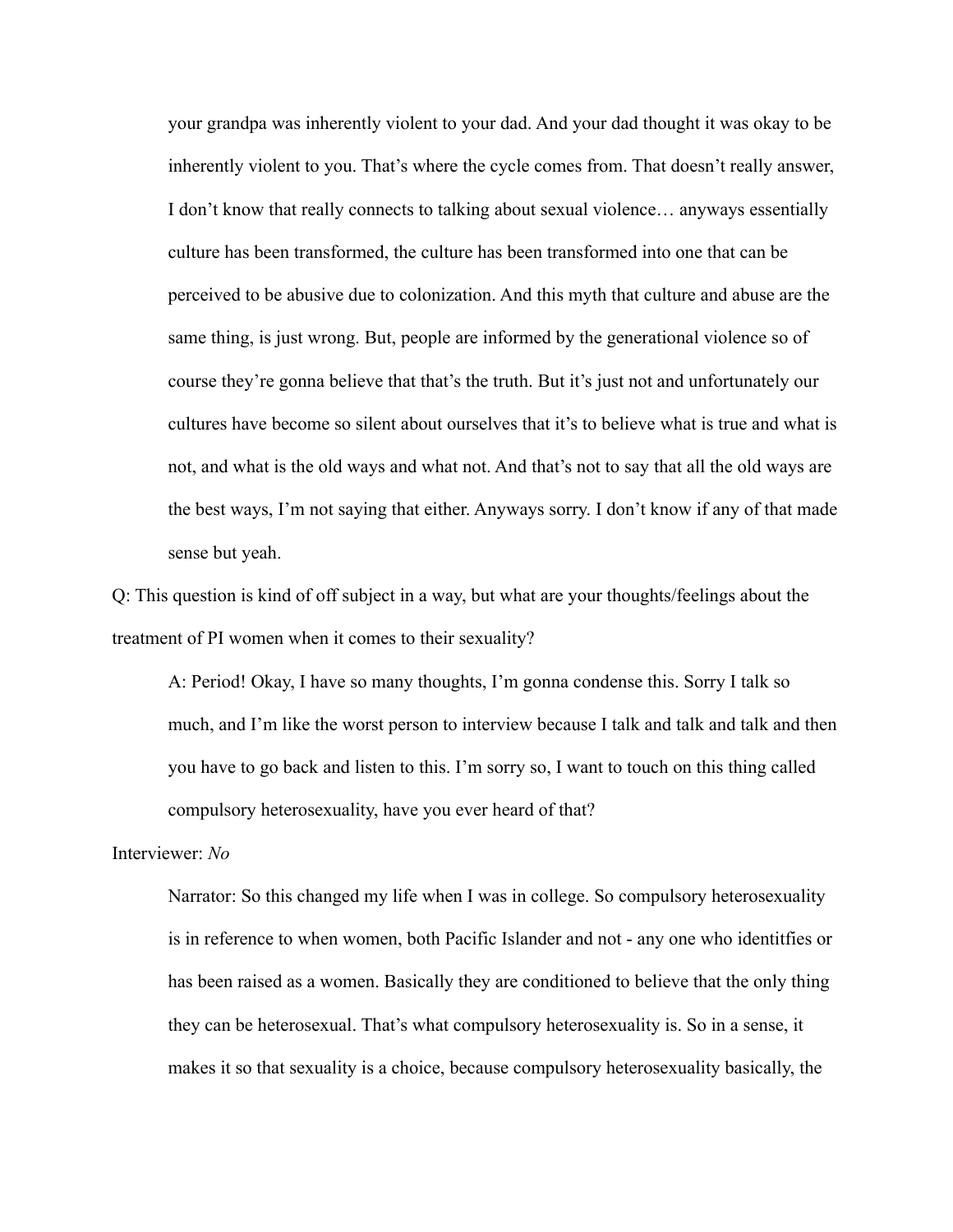your grandpa was inherently violent to your dad. And your dad thought it was okay to be inherently violent to you. That's where the cycle comes from. That doesn't really answer, I don't know that really connects to talking about sexual violence… anyways essentially culture has been transformed, the culture has been transformed into one that can be perceived to be abusive due to colonization. And this myth that culture and abuse are the same thing, is just wrong. But, people are informed by the generational violence so of course they're gonna believe that that's the truth. But it's just not and unfortunately our cultures have become so silent about ourselves that it's to believe what is true and what is not, and what is the old ways and what not. And that's not to say that all the old ways are the best ways, I'm not saying that either. Anyways sorry. I don't know if any of that made sense but yeah.

Q: This question is kind of off subject in a way, but what are your thoughts/feelings about the treatment of PI women when it comes to their sexuality?

A: Period! Okay, I have so many thoughts, I'm gonna condense this. Sorry I talk so much, and I'm like the worst person to interview because I talk and talk and talk and then you have to go back and listen to this. I'm sorry so, I want to touch on this thing called compulsory heterosexuality, have you ever heard of that?

# Interviewer: *No*

Narrator: So this changed my life when I was in college. So compulsory heterosexuality is in reference to when women, both Pacific Islander and not - any one who identitfies or has been raised as a women. Basically they are conditioned to believe that the only thing they can be heterosexual. That's what compulsory heterosexuality is. So in a sense, it makes it so that sexuality is a choice, because compulsory heterosexuality basically, the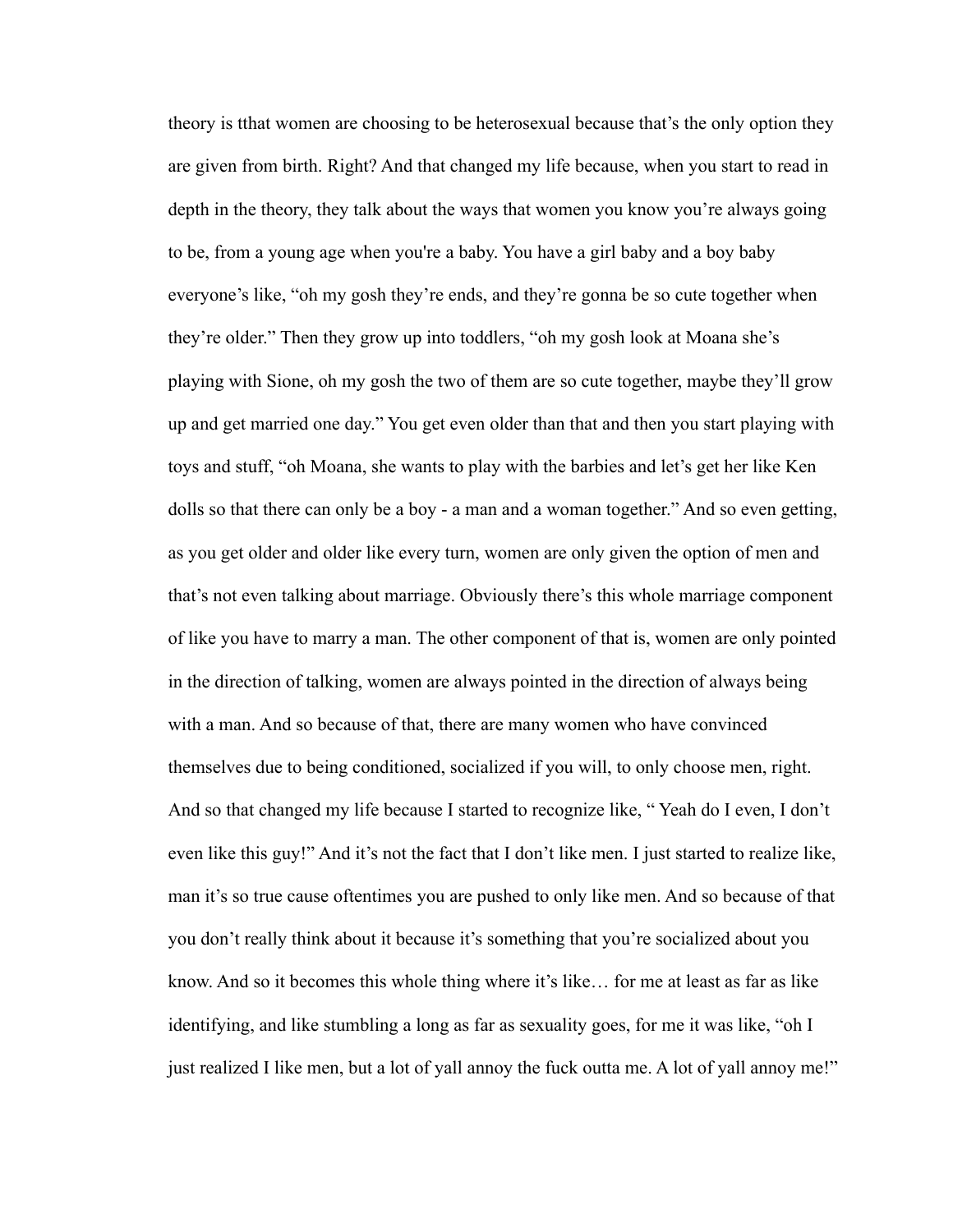theory is tthat women are choosing to be heterosexual because that's the only option they are given from birth. Right? And that changed my life because, when you start to read in depth in the theory, they talk about the ways that women you know you're always going to be, from a young age when you're a baby. You have a girl baby and a boy baby everyone's like, "oh my gosh they're ends, and they're gonna be so cute together when they're older." Then they grow up into toddlers, "oh my gosh look at Moana she's playing with Sione, oh my gosh the two of them are so cute together, maybe they'll grow up and get married one day." You get even older than that and then you start playing with toys and stuff, "oh Moana, she wants to play with the barbies and let's get her like Ken dolls so that there can only be a boy - a man and a woman together." And so even getting, as you get older and older like every turn, women are only given the option of men and that's not even talking about marriage. Obviously there's this whole marriage component of like you have to marry a man. The other component of that is, women are only pointed in the direction of talking, women are always pointed in the direction of always being with a man. And so because of that, there are many women who have convinced themselves due to being conditioned, socialized if you will, to only choose men, right. And so that changed my life because I started to recognize like, " Yeah do I even, I don't even like this guy!" And it's not the fact that I don't like men. I just started to realize like, man it's so true cause oftentimes you are pushed to only like men. And so because of that you don't really think about it because it's something that you're socialized about you know. And so it becomes this whole thing where it's like… for me at least as far as like identifying, and like stumbling a long as far as sexuality goes, for me it was like, "oh I just realized I like men, but a lot of yall annoy the fuck outta me. A lot of yall annoy me!"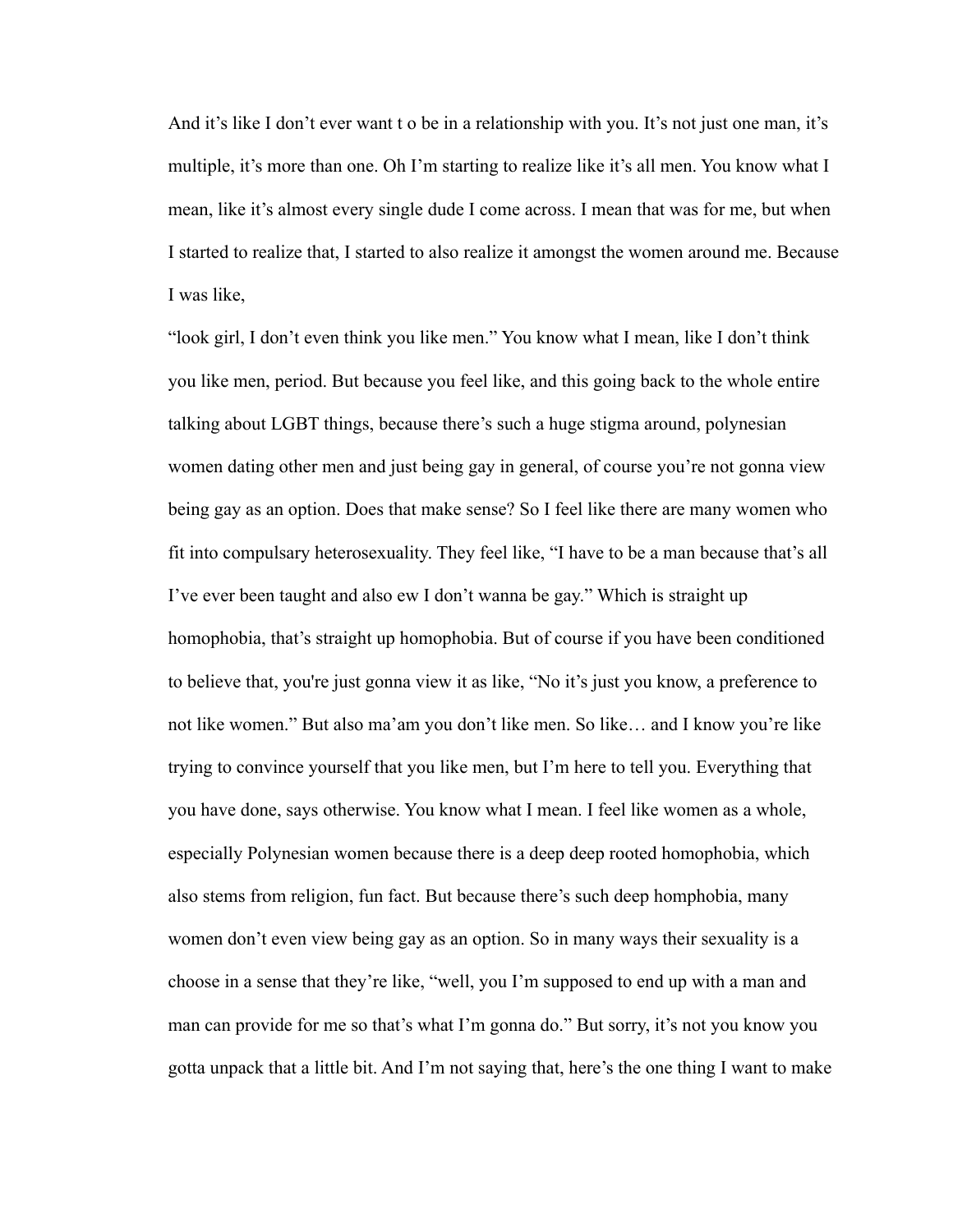And it's like I don't ever want t o be in a relationship with you. It's not just one man, it's multiple, it's more than one. Oh I'm starting to realize like it's all men. You know what I mean, like it's almost every single dude I come across. I mean that was for me, but when I started to realize that, I started to also realize it amongst the women around me. Because I was like,

"look girl, I don't even think you like men." You know what I mean, like I don't think you like men, period. But because you feel like, and this going back to the whole entire talking about LGBT things, because there's such a huge stigma around, polynesian women dating other men and just being gay in general, of course you're not gonna view being gay as an option. Does that make sense? So I feel like there are many women who fit into compulsary heterosexuality. They feel like, "I have to be a man because that's all I've ever been taught and also ew I don't wanna be gay." Which is straight up homophobia, that's straight up homophobia. But of course if you have been conditioned to believe that, you're just gonna view it as like, "No it's just you know, a preference to not like women." But also ma'am you don't like men. So like… and I know you're like trying to convince yourself that you like men, but I'm here to tell you. Everything that you have done, says otherwise. You know what I mean. I feel like women as a whole, especially Polynesian women because there is a deep deep rooted homophobia, which also stems from religion, fun fact. But because there's such deep homphobia, many women don't even view being gay as an option. So in many ways their sexuality is a choose in a sense that they're like, "well, you I'm supposed to end up with a man and man can provide for me so that's what I'm gonna do." But sorry, it's not you know you gotta unpack that a little bit. And I'm not saying that, here's the one thing I want to make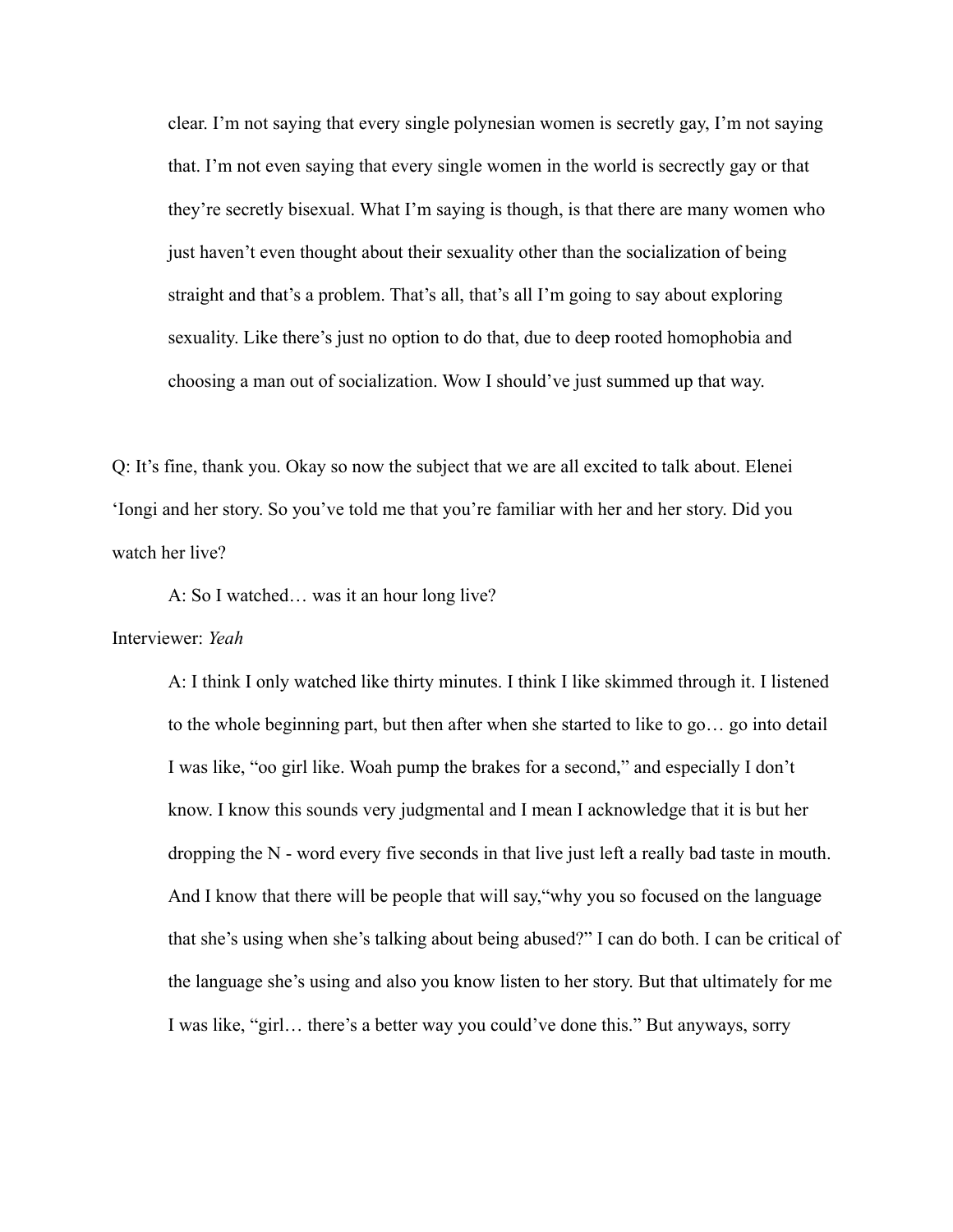clear. I'm not saying that every single polynesian women is secretly gay, I'm not saying that. I'm not even saying that every single women in the world is secrectly gay or that they're secretly bisexual. What I'm saying is though, is that there are many women who just haven't even thought about their sexuality other than the socialization of being straight and that's a problem. That's all, that's all I'm going to say about exploring sexuality. Like there's just no option to do that, due to deep rooted homophobia and choosing a man out of socialization. Wow I should've just summed up that way.

Q: It's fine, thank you. Okay so now the subject that we are all excited to talk about. Elenei 'Iongi and her story. So you've told me that you're familiar with her and her story. Did you watch her live?

A: So I watched… was it an hour long live?

Interviewer: *Yeah*

A: I think I only watched like thirty minutes. I think I like skimmed through it. I listened to the whole beginning part, but then after when she started to like to go… go into detail I was like, "oo girl like. Woah pump the brakes for a second," and especially I don't know. I know this sounds very judgmental and I mean I acknowledge that it is but her dropping the N - word every five seconds in that live just left a really bad taste in mouth. And I know that there will be people that will say,"why you so focused on the language that she's using when she's talking about being abused?" I can do both. I can be critical of the language she's using and also you know listen to her story. But that ultimately for me I was like, "girl… there's a better way you could've done this." But anyways, sorry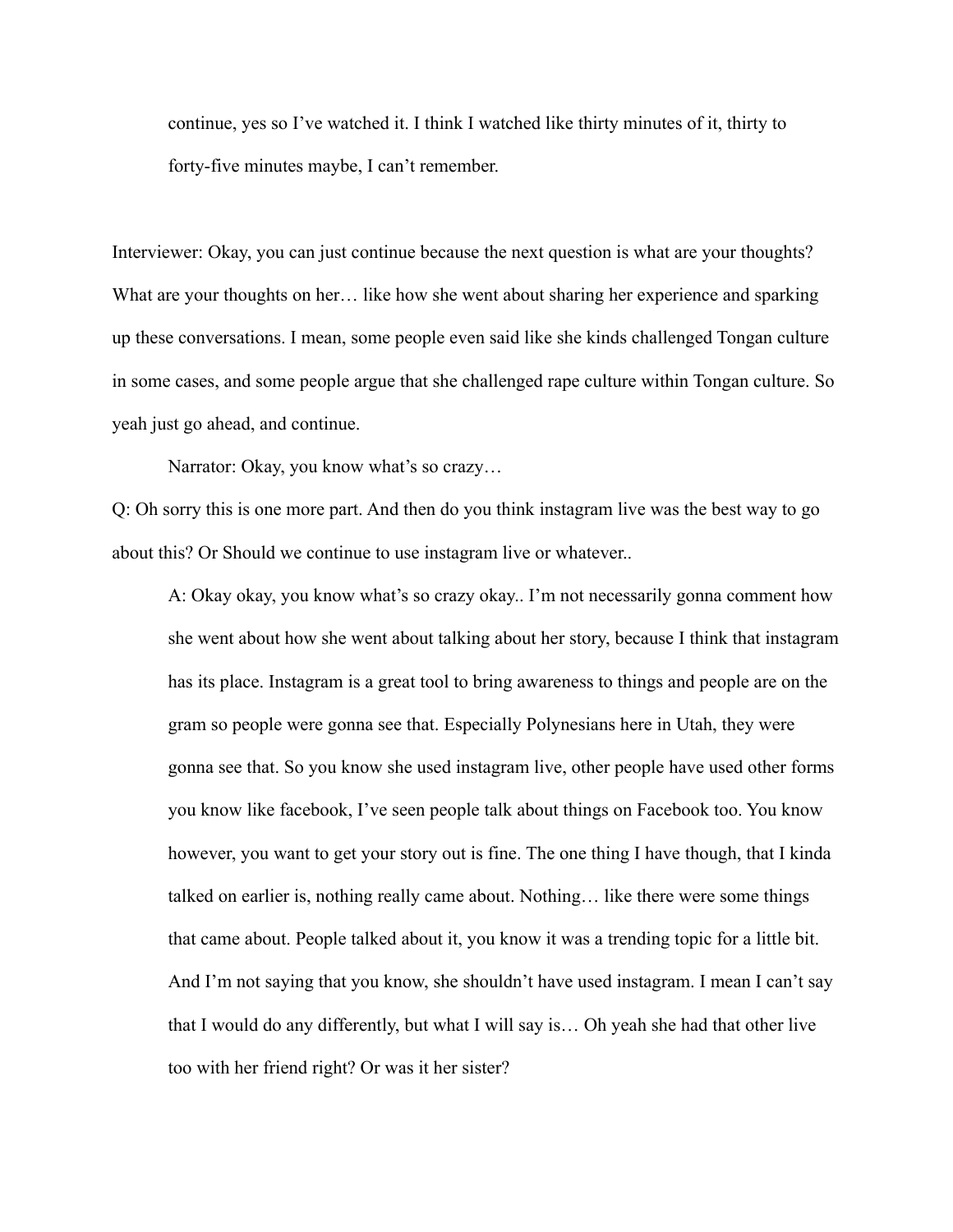continue, yes so I've watched it. I think I watched like thirty minutes of it, thirty to forty-five minutes maybe, I can't remember.

Interviewer: Okay, you can just continue because the next question is what are your thoughts? What are your thoughts on her... like how she went about sharing her experience and sparking up these conversations. I mean, some people even said like she kinds challenged Tongan culture in some cases, and some people argue that she challenged rape culture within Tongan culture. So yeah just go ahead, and continue.

Narrator: Okay, you know what's so crazy...

Q: Oh sorry this is one more part. And then do you think instagram live was the best way to go about this? Or Should we continue to use instagram live or whatever..

A: Okay okay, you know what's so crazy okay.. I'm not necessarily gonna comment how she went about how she went about talking about her story, because I think that instagram has its place. Instagram is a great tool to bring awareness to things and people are on the gram so people were gonna see that. Especially Polynesians here in Utah, they were gonna see that. So you know she used instagram live, other people have used other forms you know like facebook, I've seen people talk about things on Facebook too. You know however, you want to get your story out is fine. The one thing I have though, that I kinda talked on earlier is, nothing really came about. Nothing… like there were some things that came about. People talked about it, you know it was a trending topic for a little bit. And I'm not saying that you know, she shouldn't have used instagram. I mean I can't say that I would do any differently, but what I will say is… Oh yeah she had that other live too with her friend right? Or was it her sister?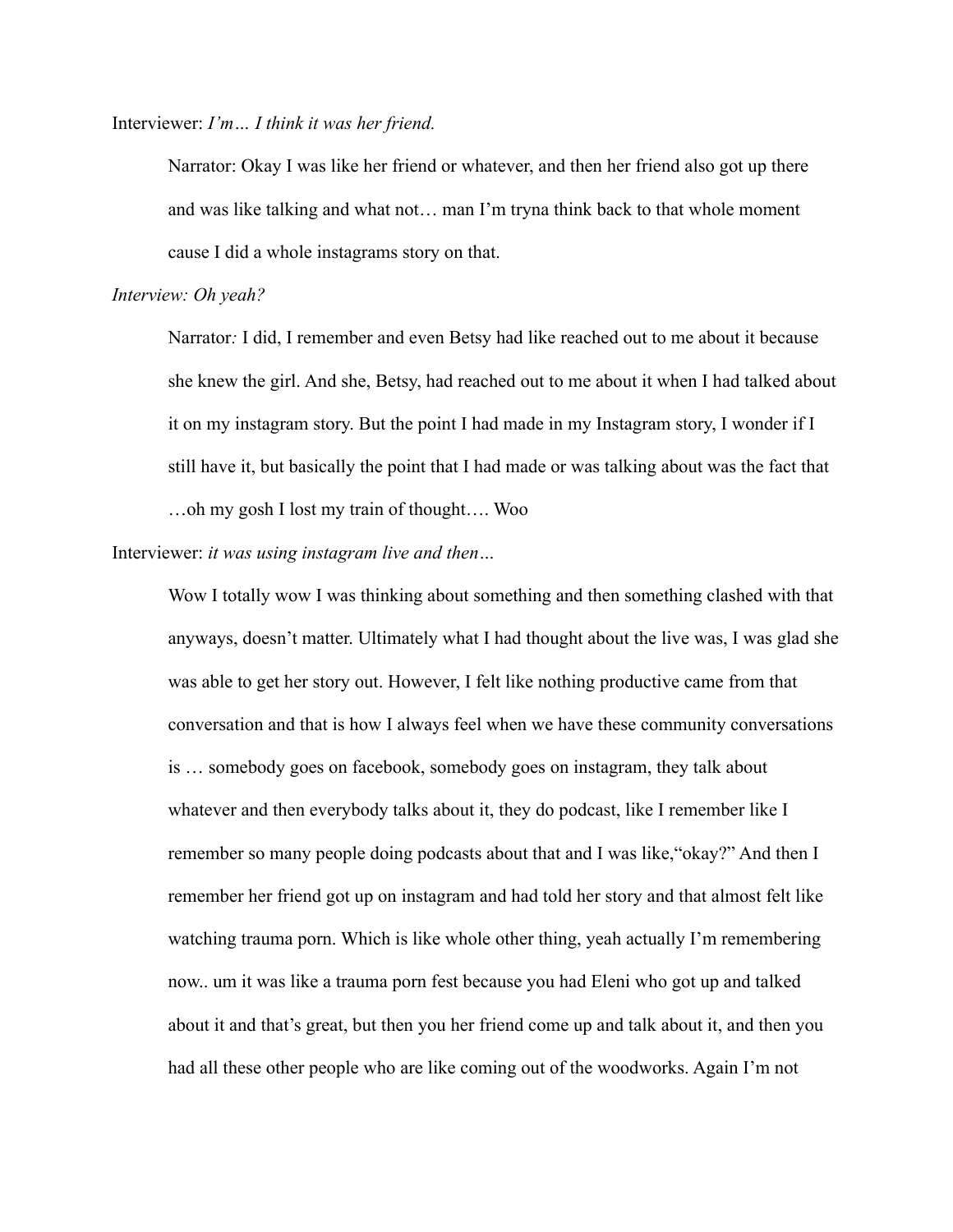Interviewer: *I'm… I think it was her friend.*

Narrator: Okay I was like her friend or whatever, and then her friend also got up there and was like talking and what not… man I'm tryna think back to that whole moment cause I did a whole instagrams story on that.

### *Interview: Oh yeah?*

Narrator*:* I did, I remember and even Betsy had like reached out to me about it because she knew the girl. And she, Betsy, had reached out to me about it when I had talked about it on my instagram story. But the point I had made in my Instagram story, I wonder if I still have it, but basically the point that I had made or was talking about was the fact that …oh my gosh I lost my train of thought…. Woo

Interviewer: *it was using instagram live and then…*

Wow I totally wow I was thinking about something and then something clashed with that anyways, doesn't matter. Ultimately what I had thought about the live was, I was glad she was able to get her story out. However, I felt like nothing productive came from that conversation and that is how I always feel when we have these community conversations is … somebody goes on facebook, somebody goes on instagram, they talk about whatever and then everybody talks about it, they do podcast, like I remember like I remember so many people doing podcasts about that and I was like,"okay?" And then I remember her friend got up on instagram and had told her story and that almost felt like watching trauma porn. Which is like whole other thing, yeah actually I'm remembering now.. um it was like a trauma porn fest because you had Eleni who got up and talked about it and that's great, but then you her friend come up and talk about it, and then you had all these other people who are like coming out of the woodworks. Again I'm not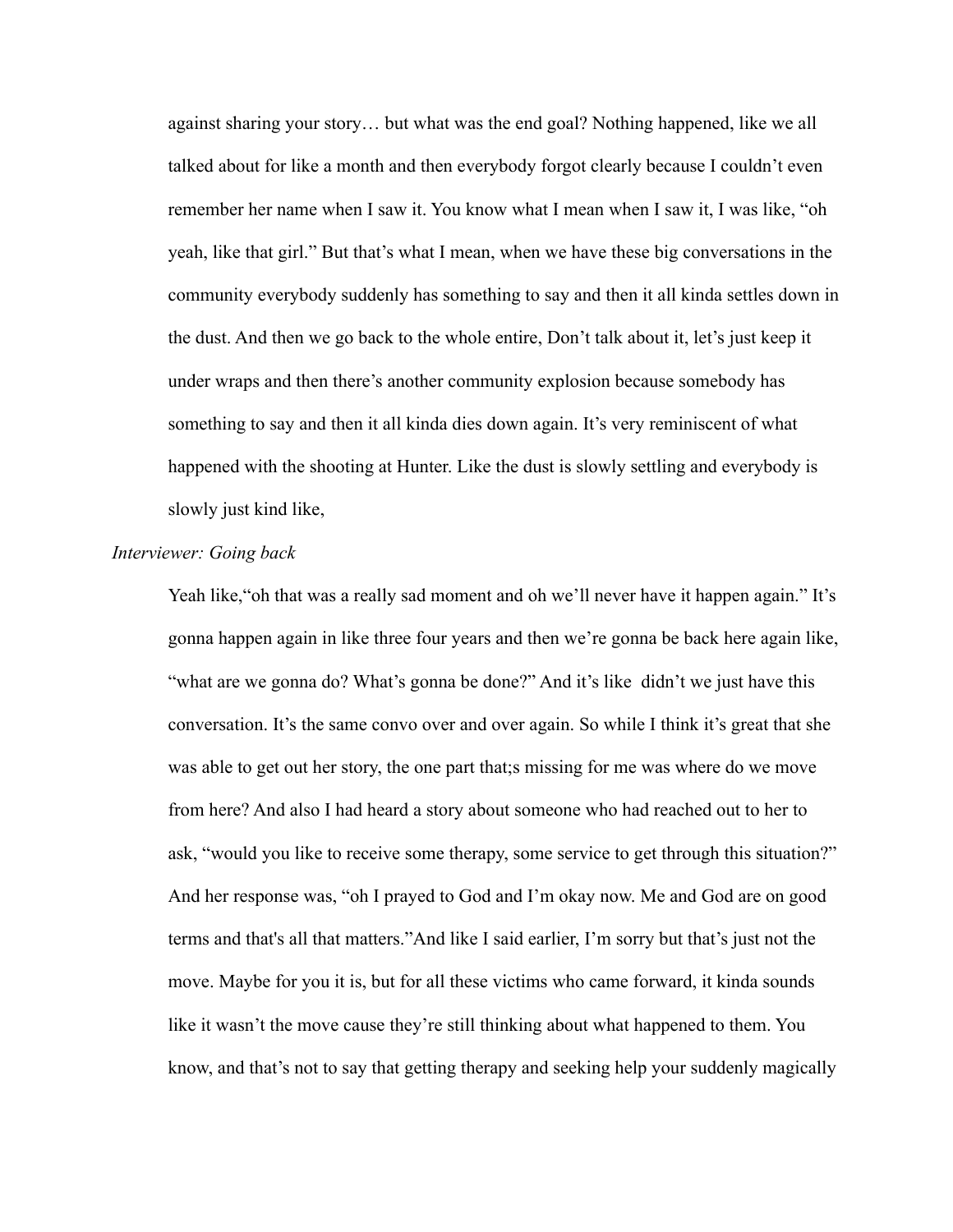against sharing your story… but what was the end goal? Nothing happened, like we all talked about for like a month and then everybody forgot clearly because I couldn't even remember her name when I saw it. You know what I mean when I saw it, I was like, "oh yeah, like that girl." But that's what I mean, when we have these big conversations in the community everybody suddenly has something to say and then it all kinda settles down in the dust. And then we go back to the whole entire, Don't talk about it, let's just keep it under wraps and then there's another community explosion because somebody has something to say and then it all kinda dies down again. It's very reminiscent of what happened with the shooting at Hunter. Like the dust is slowly settling and everybody is slowly just kind like,

# *Interviewer: Going back*

Yeah like, "oh that was a really sad moment and oh we'll never have it happen again." It's gonna happen again in like three four years and then we're gonna be back here again like, "what are we gonna do? What's gonna be done?" And it's like didn't we just have this conversation. It's the same convo over and over again. So while I think it's great that she was able to get out her story, the one part that;s missing for me was where do we move from here? And also I had heard a story about someone who had reached out to her to ask, "would you like to receive some therapy, some service to get through this situation?" And her response was, "oh I prayed to God and I'm okay now. Me and God are on good terms and that's all that matters."And like I said earlier, I'm sorry but that's just not the move. Maybe for you it is, but for all these victims who came forward, it kinda sounds like it wasn't the move cause they're still thinking about what happened to them. You know, and that's not to say that getting therapy and seeking help your suddenly magically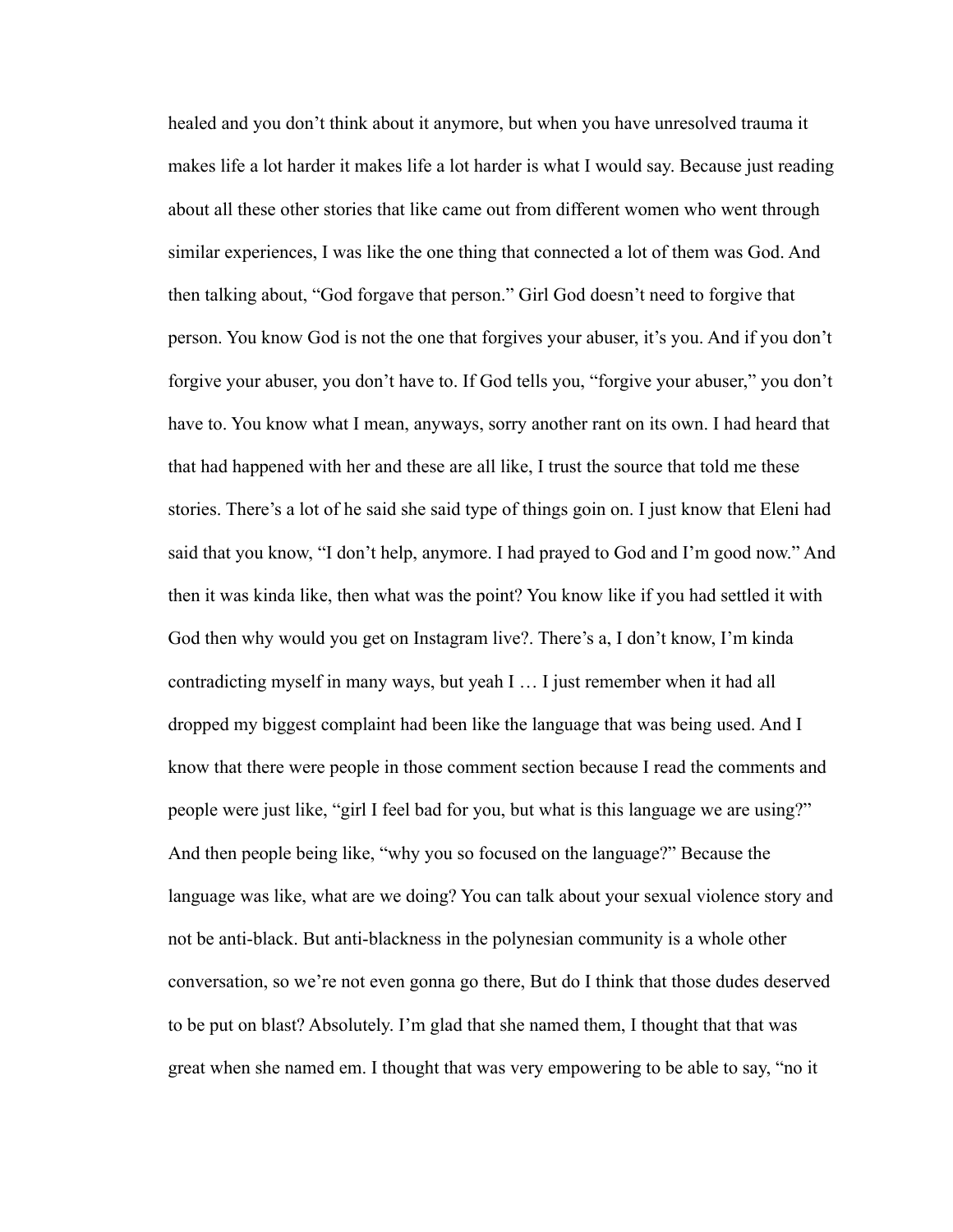healed and you don't think about it anymore, but when you have unresolved trauma it makes life a lot harder it makes life a lot harder is what I would say. Because just reading about all these other stories that like came out from different women who went through similar experiences, I was like the one thing that connected a lot of them was God. And then talking about, "God forgave that person." Girl God doesn't need to forgive that person. You know God is not the one that forgives your abuser, it's you. And if you don't forgive your abuser, you don't have to. If God tells you, "forgive your abuser," you don't have to. You know what I mean, anyways, sorry another rant on its own. I had heard that that had happened with her and these are all like, I trust the source that told me these stories. There's a lot of he said she said type of things goin on. I just know that Eleni had said that you know, "I don't help, anymore. I had prayed to God and I'm good now." And then it was kinda like, then what was the point? You know like if you had settled it with God then why would you get on Instagram live?. There's a, I don't know, I'm kinda contradicting myself in many ways, but yeah I … I just remember when it had all dropped my biggest complaint had been like the language that was being used. And I know that there were people in those comment section because I read the comments and people were just like, "girl I feel bad for you, but what is this language we are using?" And then people being like, "why you so focused on the language?" Because the language was like, what are we doing? You can talk about your sexual violence story and not be anti-black. But anti-blackness in the polynesian community is a whole other conversation, so we're not even gonna go there, But do I think that those dudes deserved to be put on blast? Absolutely. I'm glad that she named them, I thought that that was great when she named em. I thought that was very empowering to be able to say, "no it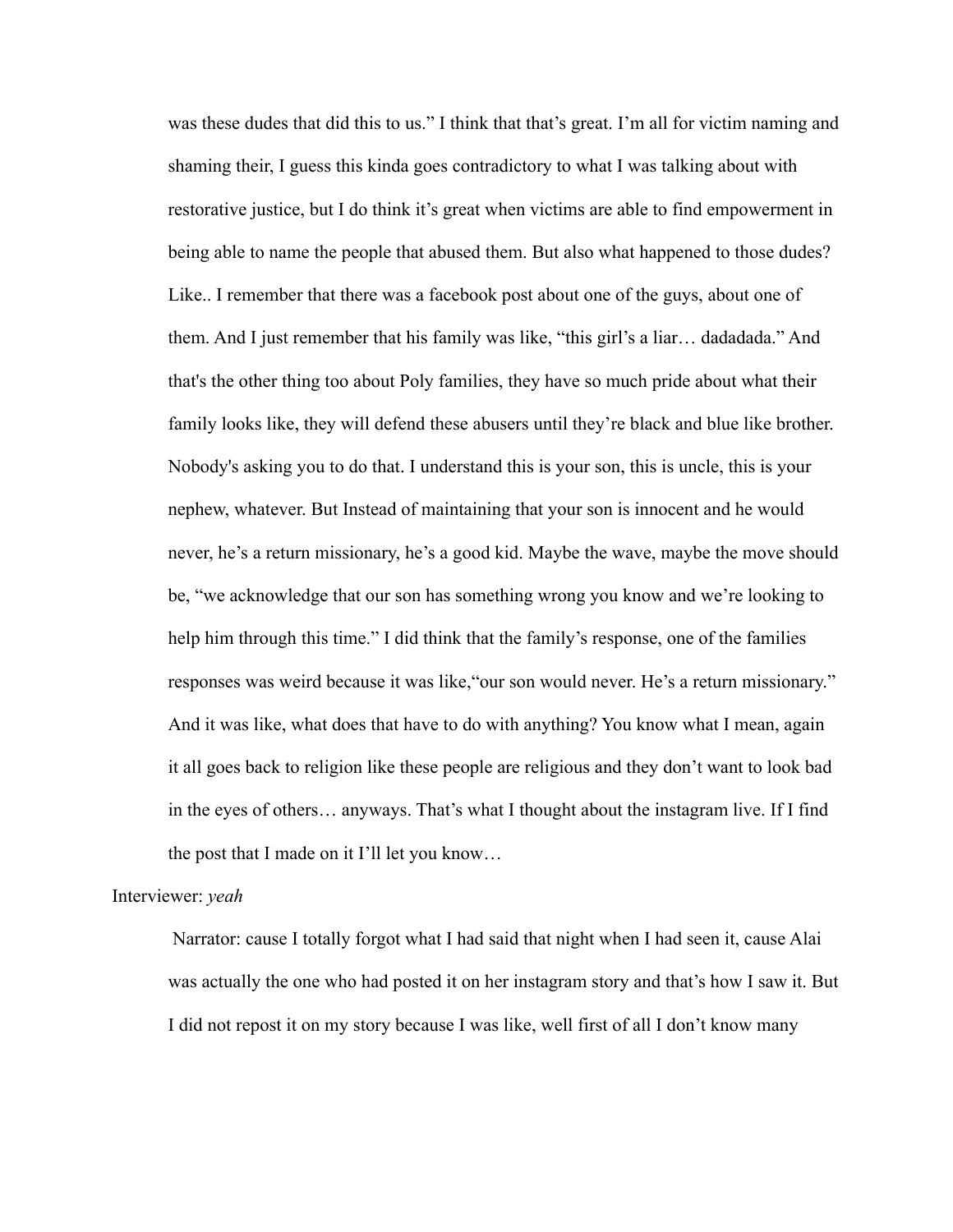was these dudes that did this to us." I think that that's great. I'm all for victim naming and shaming their, I guess this kinda goes contradictory to what I was talking about with restorative justice, but I do think it's great when victims are able to find empowerment in being able to name the people that abused them. But also what happened to those dudes? Like.. I remember that there was a facebook post about one of the guys, about one of them. And I just remember that his family was like, "this girl's a liar… dadadada." And that's the other thing too about Poly families, they have so much pride about what their family looks like, they will defend these abusers until they're black and blue like brother. Nobody's asking you to do that. I understand this is your son, this is uncle, this is your nephew, whatever. But Instead of maintaining that your son is innocent and he would never, he's a return missionary, he's a good kid. Maybe the wave, maybe the move should be, "we acknowledge that our son has something wrong you know and we're looking to help him through this time." I did think that the family's response, one of the families responses was weird because it was like,"our son would never. He's a return missionary." And it was like, what does that have to do with anything? You know what I mean, again it all goes back to religion like these people are religious and they don't want to look bad in the eyes of others… anyways. That's what I thought about the instagram live. If I find the post that I made on it I'll let you know…

### Interviewer: *yeah*

Narrator: cause I totally forgot what I had said that night when I had seen it, cause Alai was actually the one who had posted it on her instagram story and that's how I saw it. But I did not repost it on my story because I was like, well first of all I don't know many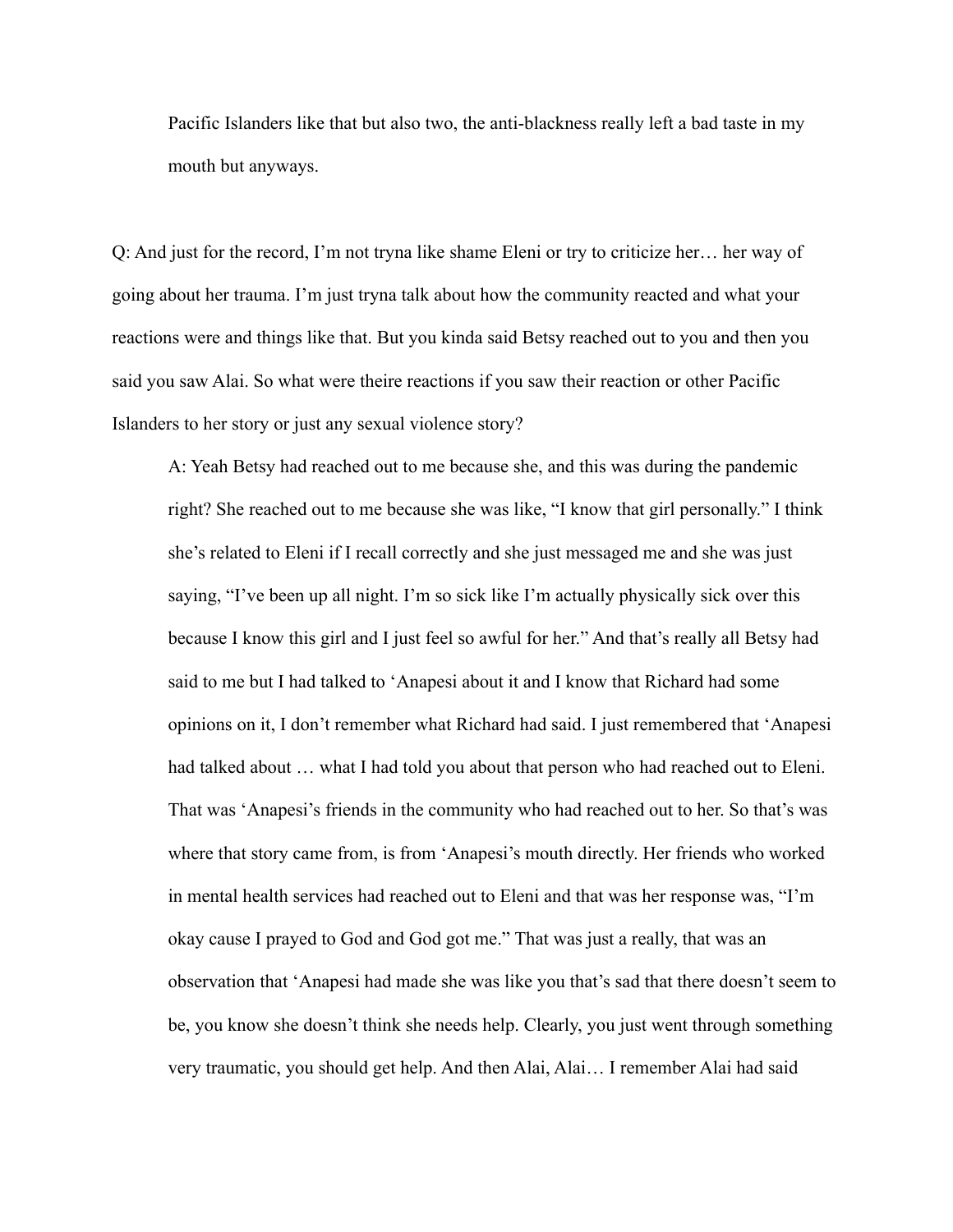Pacific Islanders like that but also two, the anti-blackness really left a bad taste in my mouth but anyways.

Q: And just for the record, I'm not tryna like shame Eleni or try to criticize her… her way of going about her trauma. I'm just tryna talk about how the community reacted and what your reactions were and things like that. But you kinda said Betsy reached out to you and then you said you saw Alai. So what were theire reactions if you saw their reaction or other Pacific Islanders to her story or just any sexual violence story?

A: Yeah Betsy had reached out to me because she, and this was during the pandemic right? She reached out to me because she was like, "I know that girl personally." I think she's related to Eleni if I recall correctly and she just messaged me and she was just saying, "I've been up all night. I'm so sick like I'm actually physically sick over this because I know this girl and I just feel so awful for her." And that's really all Betsy had said to me but I had talked to 'Anapesi about it and I know that Richard had some opinions on it, I don't remember what Richard had said. I just remembered that 'Anapesi had talked about … what I had told you about that person who had reached out to Eleni. That was 'Anapesi's friends in the community who had reached out to her. So that's was where that story came from, is from 'Anapesi's mouth directly. Her friends who worked in mental health services had reached out to Eleni and that was her response was, "I'm okay cause I prayed to God and God got me." That was just a really, that was an observation that 'Anapesi had made she was like you that's sad that there doesn't seem to be, you know she doesn't think she needs help. Clearly, you just went through something very traumatic, you should get help. And then Alai, Alai… I remember Alai had said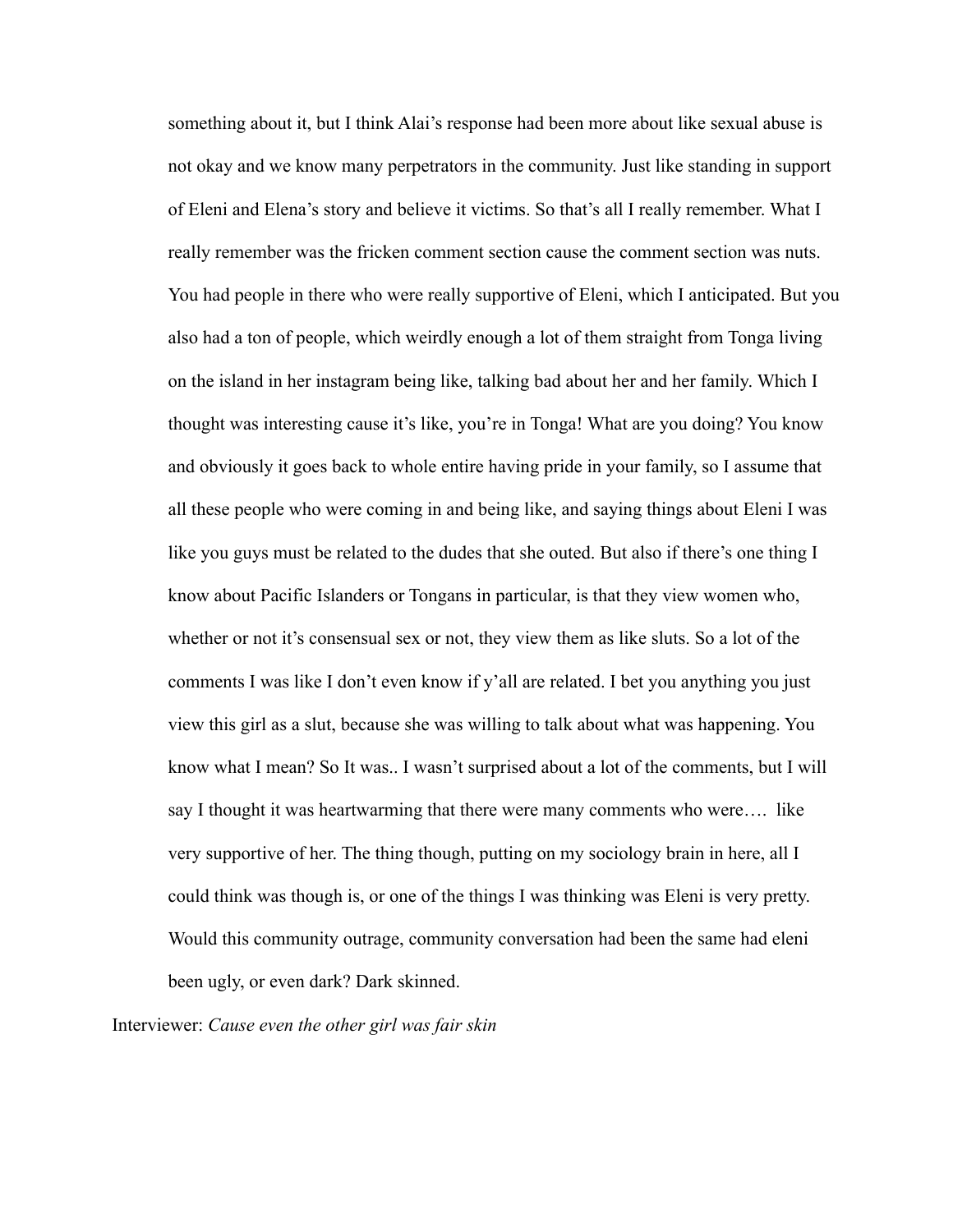something about it, but I think Alai's response had been more about like sexual abuse is not okay and we know many perpetrators in the community. Just like standing in support of Eleni and Elena's story and believe it victims. So that's all I really remember. What I really remember was the fricken comment section cause the comment section was nuts. You had people in there who were really supportive of Eleni, which I anticipated. But you also had a ton of people, which weirdly enough a lot of them straight from Tonga living on the island in her instagram being like, talking bad about her and her family. Which I thought was interesting cause it's like, you're in Tonga! What are you doing? You know and obviously it goes back to whole entire having pride in your family, so I assume that all these people who were coming in and being like, and saying things about Eleni I was like you guys must be related to the dudes that she outed. But also if there's one thing I know about Pacific Islanders or Tongans in particular, is that they view women who, whether or not it's consensual sex or not, they view them as like sluts. So a lot of the comments I was like I don't even know if y'all are related. I bet you anything you just view this girl as a slut, because she was willing to talk about what was happening. You know what I mean? So It was.. I wasn't surprised about a lot of the comments, but I will say I thought it was heartwarming that there were many comments who were…. like very supportive of her. The thing though, putting on my sociology brain in here, all I could think was though is, or one of the things I was thinking was Eleni is very pretty. Would this community outrage, community conversation had been the same had eleni been ugly, or even dark? Dark skinned.

Interviewer: *Cause even the other girl was fair skin*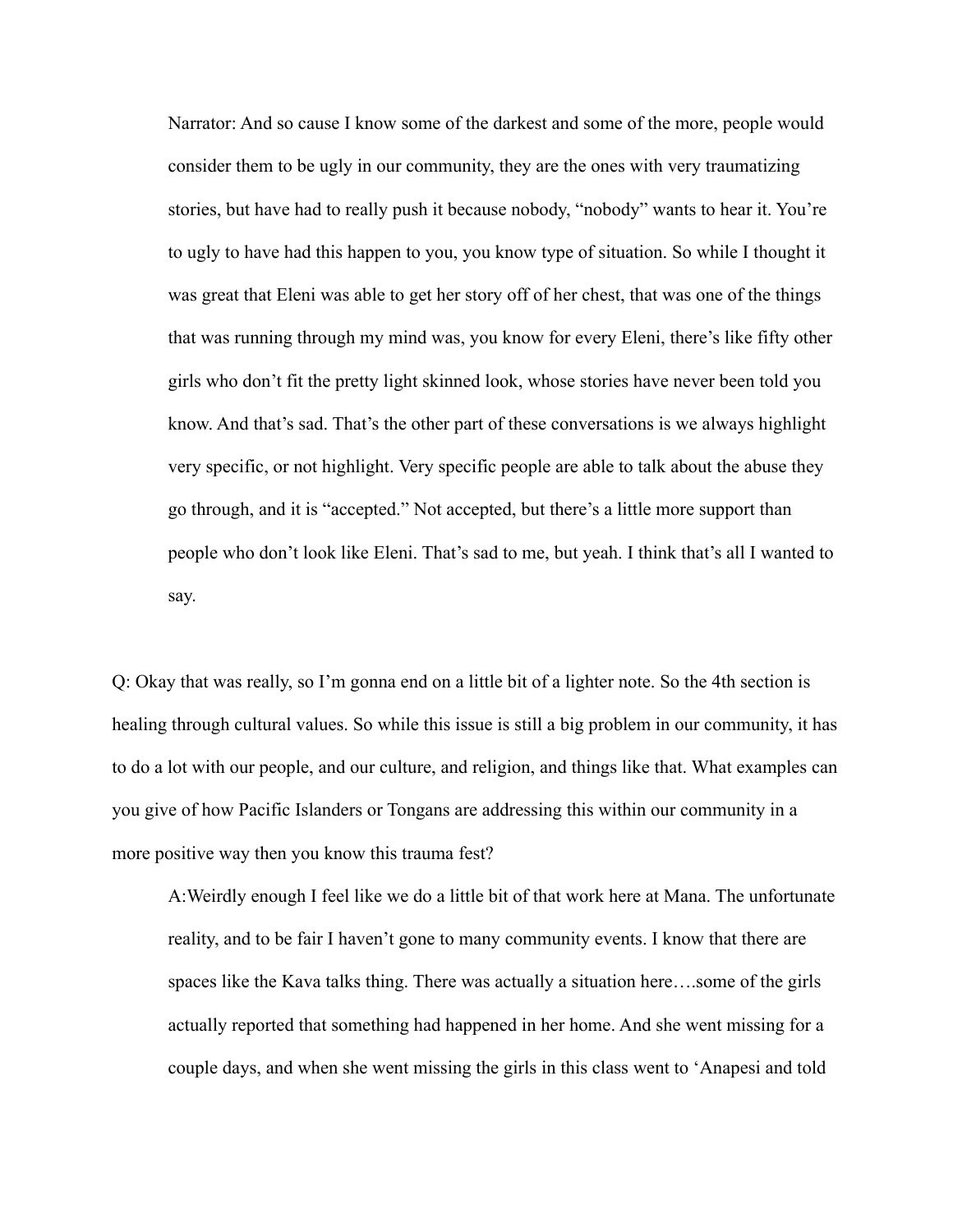Narrator: And so cause I know some of the darkest and some of the more, people would consider them to be ugly in our community, they are the ones with very traumatizing stories, but have had to really push it because nobody, "nobody" wants to hear it. You're to ugly to have had this happen to you, you know type of situation. So while I thought it was great that Eleni was able to get her story off of her chest, that was one of the things that was running through my mind was, you know for every Eleni, there's like fifty other girls who don't fit the pretty light skinned look, whose stories have never been told you know. And that's sad. That's the other part of these conversations is we always highlight very specific, or not highlight. Very specific people are able to talk about the abuse they go through, and it is "accepted." Not accepted, but there's a little more support than people who don't look like Eleni. That's sad to me, but yeah. I think that's all I wanted to say.

Q: Okay that was really, so I'm gonna end on a little bit of a lighter note. So the 4th section is healing through cultural values. So while this issue is still a big problem in our community, it has to do a lot with our people, and our culture, and religion, and things like that. What examples can you give of how Pacific Islanders or Tongans are addressing this within our community in a more positive way then you know this trauma fest?

A:Weirdly enough I feel like we do a little bit of that work here at Mana. The unfortunate reality, and to be fair I haven't gone to many community events. I know that there are spaces like the Kava talks thing. There was actually a situation here….some of the girls actually reported that something had happened in her home. And she went missing for a couple days, and when she went missing the girls in this class went to 'Anapesi and told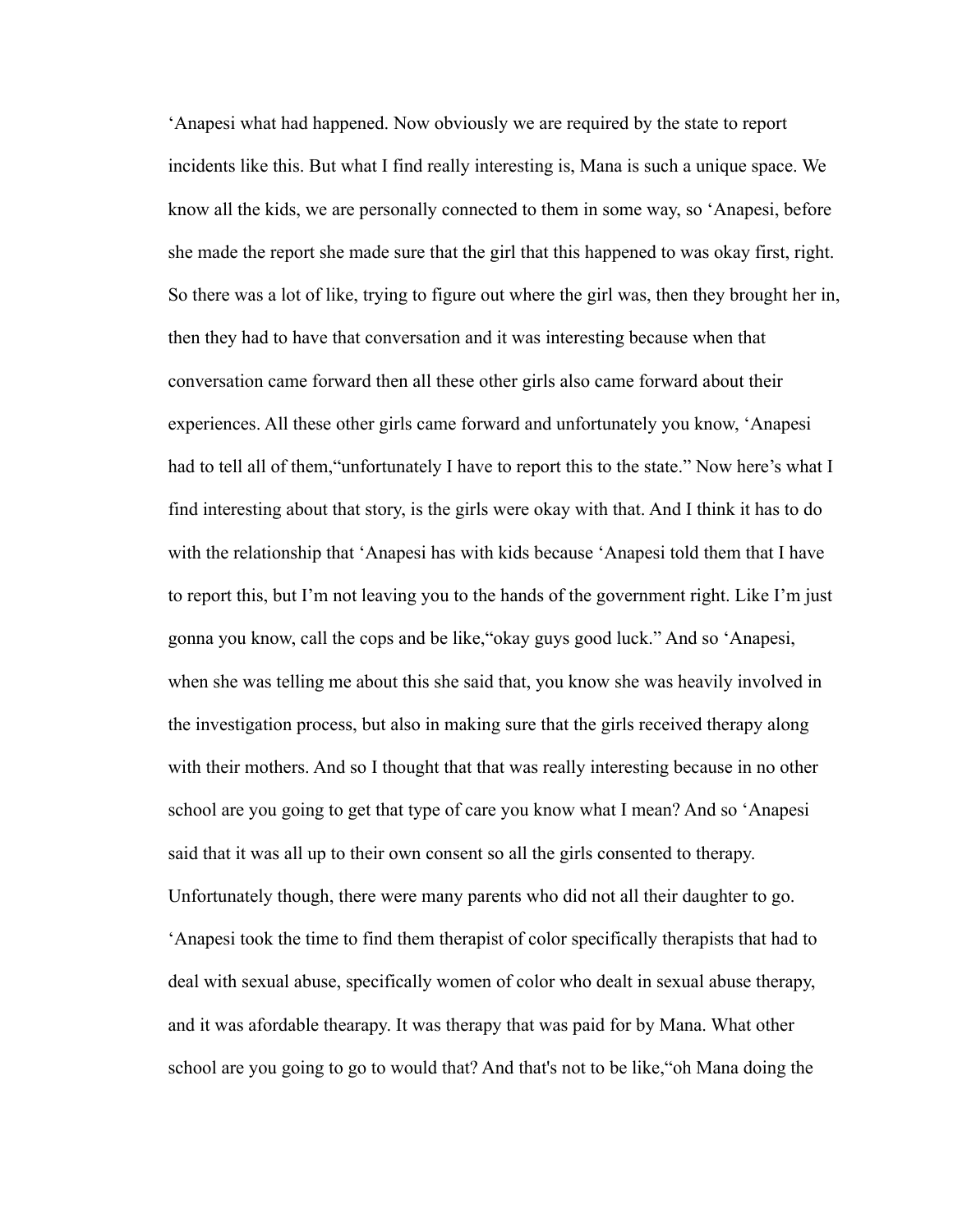'Anapesi what had happened. Now obviously we are required by the state to report incidents like this. But what I find really interesting is, Mana is such a unique space. We know all the kids, we are personally connected to them in some way, so 'Anapesi, before she made the report she made sure that the girl that this happened to was okay first, right. So there was a lot of like, trying to figure out where the girl was, then they brought her in, then they had to have that conversation and it was interesting because when that conversation came forward then all these other girls also came forward about their experiences. All these other girls came forward and unfortunately you know, 'Anapesi had to tell all of them, "unfortunately I have to report this to the state." Now here's what I find interesting about that story, is the girls were okay with that. And I think it has to do with the relationship that 'Anapesi has with kids because 'Anapesi told them that I have to report this, but I'm not leaving you to the hands of the government right. Like I'm just gonna you know, call the cops and be like,"okay guys good luck." And so 'Anapesi, when she was telling me about this she said that, you know she was heavily involved in the investigation process, but also in making sure that the girls received therapy along with their mothers. And so I thought that that was really interesting because in no other school are you going to get that type of care you know what I mean? And so 'Anapesi said that it was all up to their own consent so all the girls consented to therapy. Unfortunately though, there were many parents who did not all their daughter to go. 'Anapesi took the time to find them therapist of color specifically therapists that had to deal with sexual abuse, specifically women of color who dealt in sexual abuse therapy, and it was afordable thearapy. It was therapy that was paid for by Mana. What other school are you going to go to would that? And that's not to be like,"oh Mana doing the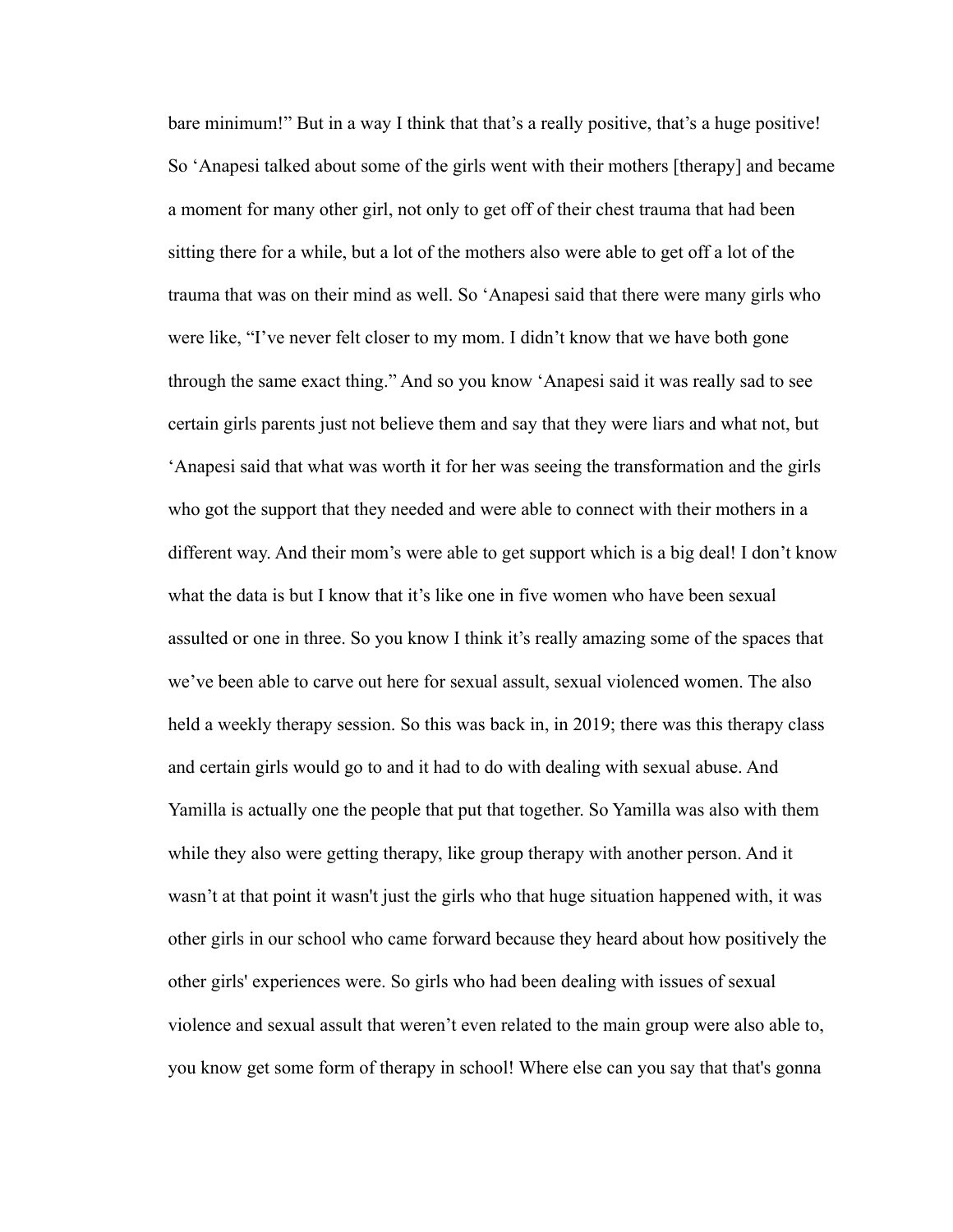bare minimum!" But in a way I think that that's a really positive, that's a huge positive! So 'Anapesi talked about some of the girls went with their mothers [therapy] and became a moment for many other girl, not only to get off of their chest trauma that had been sitting there for a while, but a lot of the mothers also were able to get off a lot of the trauma that was on their mind as well. So 'Anapesi said that there were many girls who were like, "I've never felt closer to my mom. I didn't know that we have both gone through the same exact thing." And so you know 'Anapesi said it was really sad to see certain girls parents just not believe them and say that they were liars and what not, but 'Anapesi said that what was worth it for her was seeing the transformation and the girls who got the support that they needed and were able to connect with their mothers in a different way. And their mom's were able to get support which is a big deal! I don't know what the data is but I know that it's like one in five women who have been sexual assulted or one in three. So you know I think it's really amazing some of the spaces that we've been able to carve out here for sexual assult, sexual violenced women. The also held a weekly therapy session. So this was back in, in 2019; there was this therapy class and certain girls would go to and it had to do with dealing with sexual abuse. And Yamilla is actually one the people that put that together. So Yamilla was also with them while they also were getting therapy, like group therapy with another person. And it wasn't at that point it wasn't just the girls who that huge situation happened with, it was other girls in our school who came forward because they heard about how positively the other girls' experiences were. So girls who had been dealing with issues of sexual violence and sexual assult that weren't even related to the main group were also able to, you know get some form of therapy in school! Where else can you say that that's gonna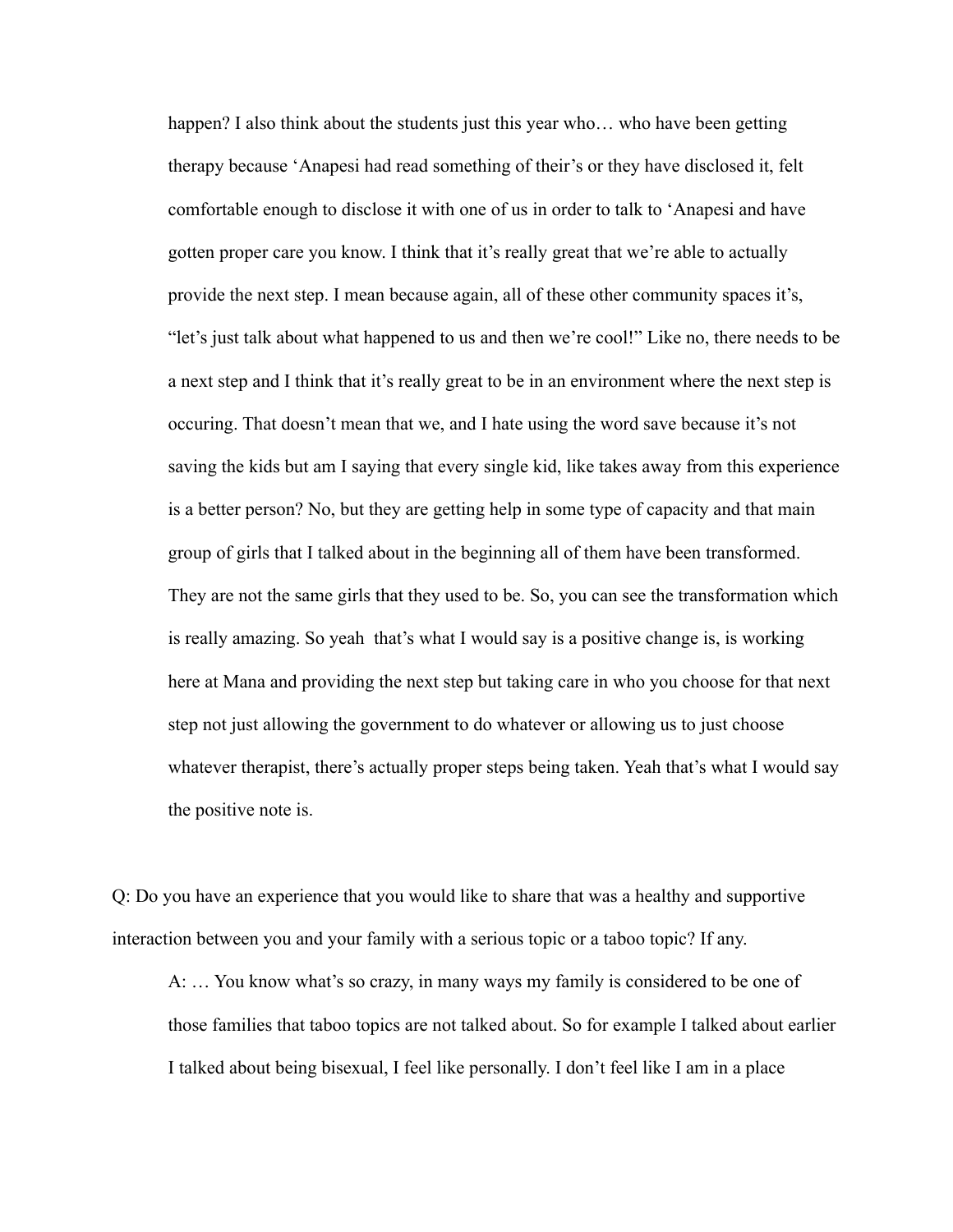happen? I also think about the students just this year who... who have been getting therapy because 'Anapesi had read something of their's or they have disclosed it, felt comfortable enough to disclose it with one of us in order to talk to 'Anapesi and have gotten proper care you know. I think that it's really great that we're able to actually provide the next step. I mean because again, all of these other community spaces it's, "let's just talk about what happened to us and then we're cool!" Like no, there needs to be a next step and I think that it's really great to be in an environment where the next step is occuring. That doesn't mean that we, and I hate using the word save because it's not saving the kids but am I saying that every single kid, like takes away from this experience is a better person? No, but they are getting help in some type of capacity and that main group of girls that I talked about in the beginning all of them have been transformed. They are not the same girls that they used to be. So, you can see the transformation which is really amazing. So yeah that's what I would say is a positive change is, is working here at Mana and providing the next step but taking care in who you choose for that next step not just allowing the government to do whatever or allowing us to just choose whatever therapist, there's actually proper steps being taken. Yeah that's what I would say the positive note is.

Q: Do you have an experience that you would like to share that was a healthy and supportive interaction between you and your family with a serious topic or a taboo topic? If any.

A: … You know what's so crazy, in many ways my family is considered to be one of those families that taboo topics are not talked about. So for example I talked about earlier I talked about being bisexual, I feel like personally. I don't feel like I am in a place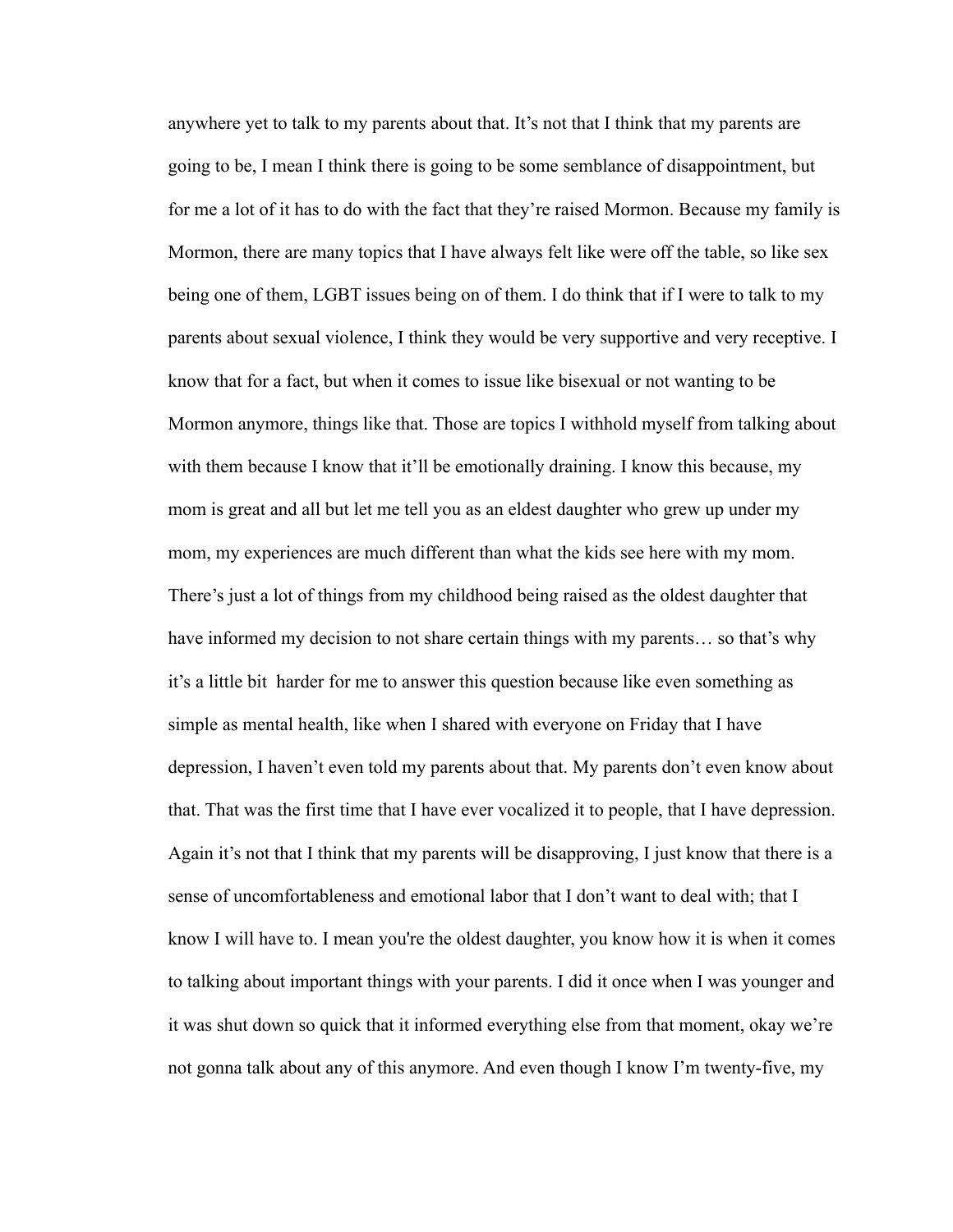anywhere yet to talk to my parents about that. It's not that I think that my parents are going to be, I mean I think there is going to be some semblance of disappointment, but for me a lot of it has to do with the fact that they're raised Mormon. Because my family is Mormon, there are many topics that I have always felt like were off the table, so like sex being one of them, LGBT issues being on of them. I do think that if I were to talk to my parents about sexual violence, I think they would be very supportive and very receptive. I know that for a fact, but when it comes to issue like bisexual or not wanting to be Mormon anymore, things like that. Those are topics I withhold myself from talking about with them because I know that it'll be emotionally draining. I know this because, my mom is great and all but let me tell you as an eldest daughter who grew up under my mom, my experiences are much different than what the kids see here with my mom. There's just a lot of things from my childhood being raised as the oldest daughter that have informed my decision to not share certain things with my parents… so that's why it's a little bit harder for me to answer this question because like even something as simple as mental health, like when I shared with everyone on Friday that I have depression, I haven't even told my parents about that. My parents don't even know about that. That was the first time that I have ever vocalized it to people, that I have depression. Again it's not that I think that my parents will be disapproving, I just know that there is a sense of uncomfortableness and emotional labor that I don't want to deal with; that I know I will have to. I mean you're the oldest daughter, you know how it is when it comes to talking about important things with your parents. I did it once when I was younger and it was shut down so quick that it informed everything else from that moment, okay we're not gonna talk about any of this anymore. And even though I know I'm twenty-five, my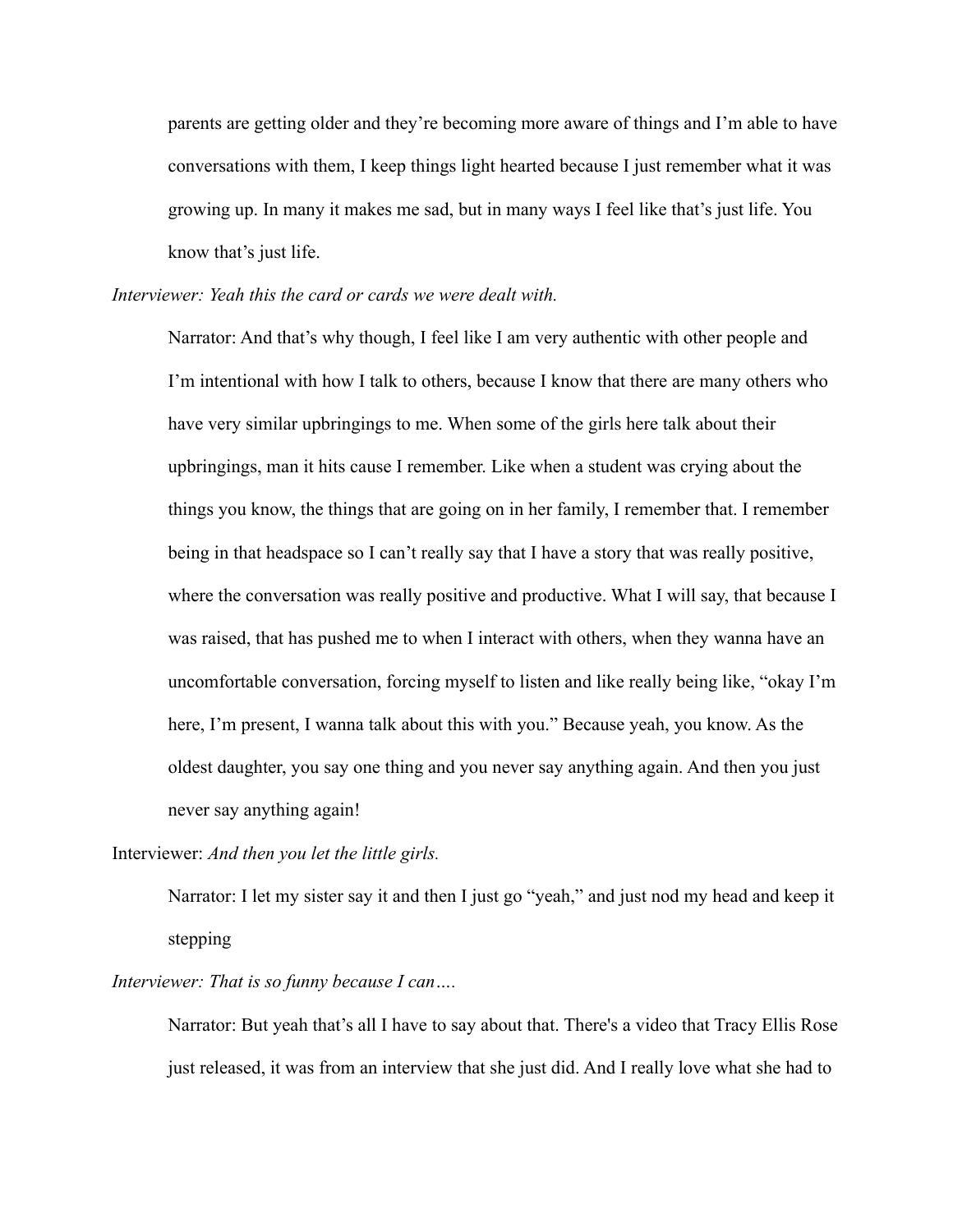parents are getting older and they're becoming more aware of things and I'm able to have conversations with them, I keep things light hearted because I just remember what it was growing up. In many it makes me sad, but in many ways I feel like that's just life. You know that's just life.

*Interviewer: Yeah this the card or cards we were dealt with.*

Narrator: And that's why though, I feel like I am very authentic with other people and I'm intentional with how I talk to others, because I know that there are many others who have very similar upbringings to me. When some of the girls here talk about their upbringings, man it hits cause I remember. Like when a student was crying about the things you know, the things that are going on in her family, I remember that. I remember being in that headspace so I can't really say that I have a story that was really positive, where the conversation was really positive and productive. What I will say, that because I was raised, that has pushed me to when I interact with others, when they wanna have an uncomfortable conversation, forcing myself to listen and like really being like, "okay I'm here, I'm present, I wanna talk about this with you." Because yeah, you know. As the oldest daughter, you say one thing and you never say anything again. And then you just never say anything again!

Interviewer: *And then you let the little girls.*

Narrator: I let my sister say it and then I just go "yeah," and just nod my head and keep it stepping

*Interviewer: That is so funny because I can….*

Narrator: But yeah that's all I have to say about that. There's a video that Tracy Ellis Rose just released, it was from an interview that she just did. And I really love what she had to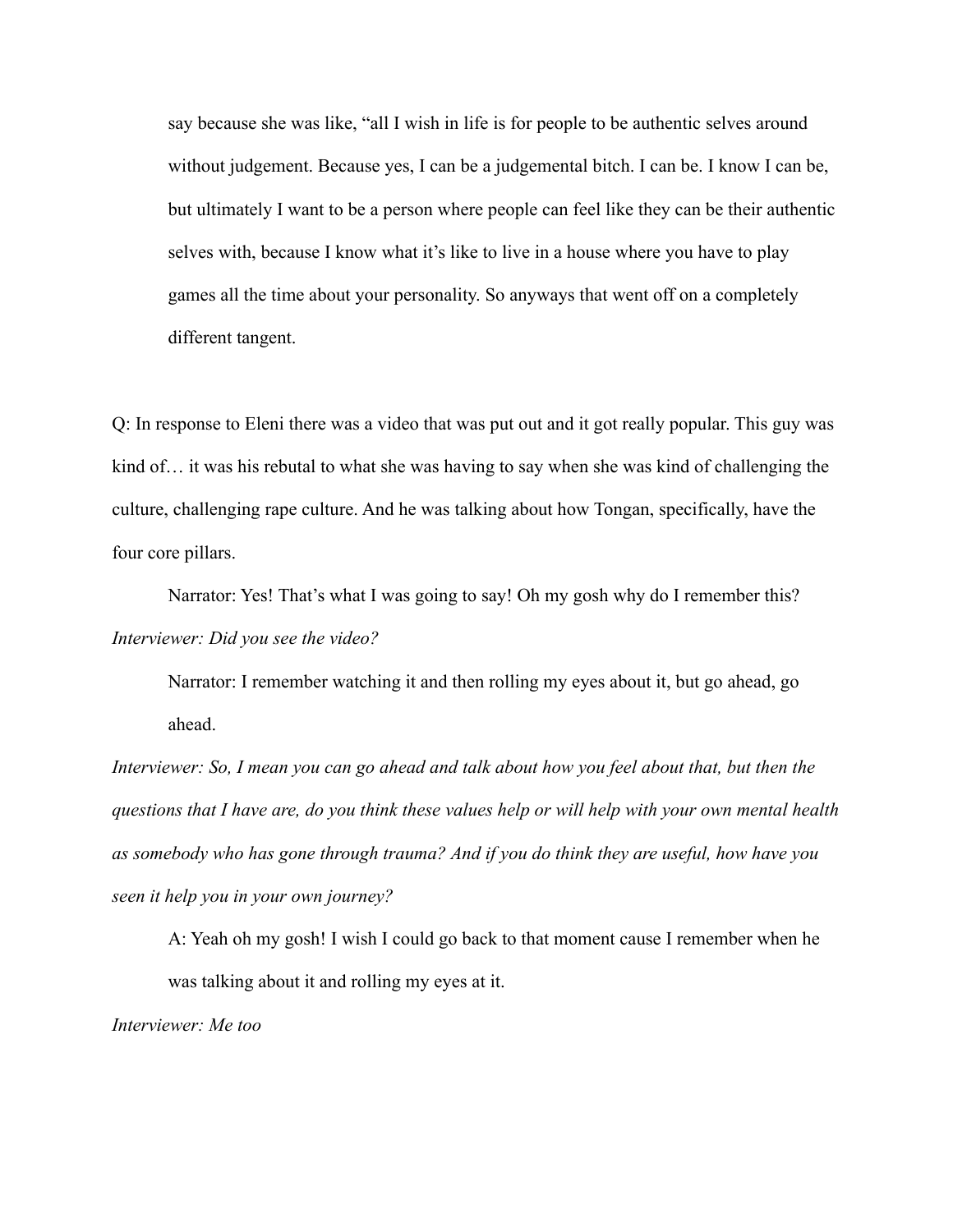say because she was like, "all I wish in life is for people to be authentic selves around without judgement. Because yes, I can be a judgemental bitch. I can be. I know I can be, but ultimately I want to be a person where people can feel like they can be their authentic selves with, because I know what it's like to live in a house where you have to play games all the time about your personality. So anyways that went off on a completely different tangent.

Q: In response to Eleni there was a video that was put out and it got really popular. This guy was kind of… it was his rebutal to what she was having to say when she was kind of challenging the culture, challenging rape culture. And he was talking about how Tongan, specifically, have the four core pillars.

Narrator: Yes! That's what I was going to say! Oh my gosh why do I remember this? *Interviewer: Did you see the video?*

Narrator: I remember watching it and then rolling my eyes about it, but go ahead, go ahead.

*Interviewer: So, I mean you can go ahead and talk about how you feel about that, but then the questions that I have are, do you think these values help or will help with your own mental health as somebody who has gone through trauma? And if you do think they are useful, how have you seen it help you in your own journey?*

A: Yeah oh my gosh! I wish I could go back to that moment cause I remember when he was talking about it and rolling my eyes at it.

*Interviewer: Me too*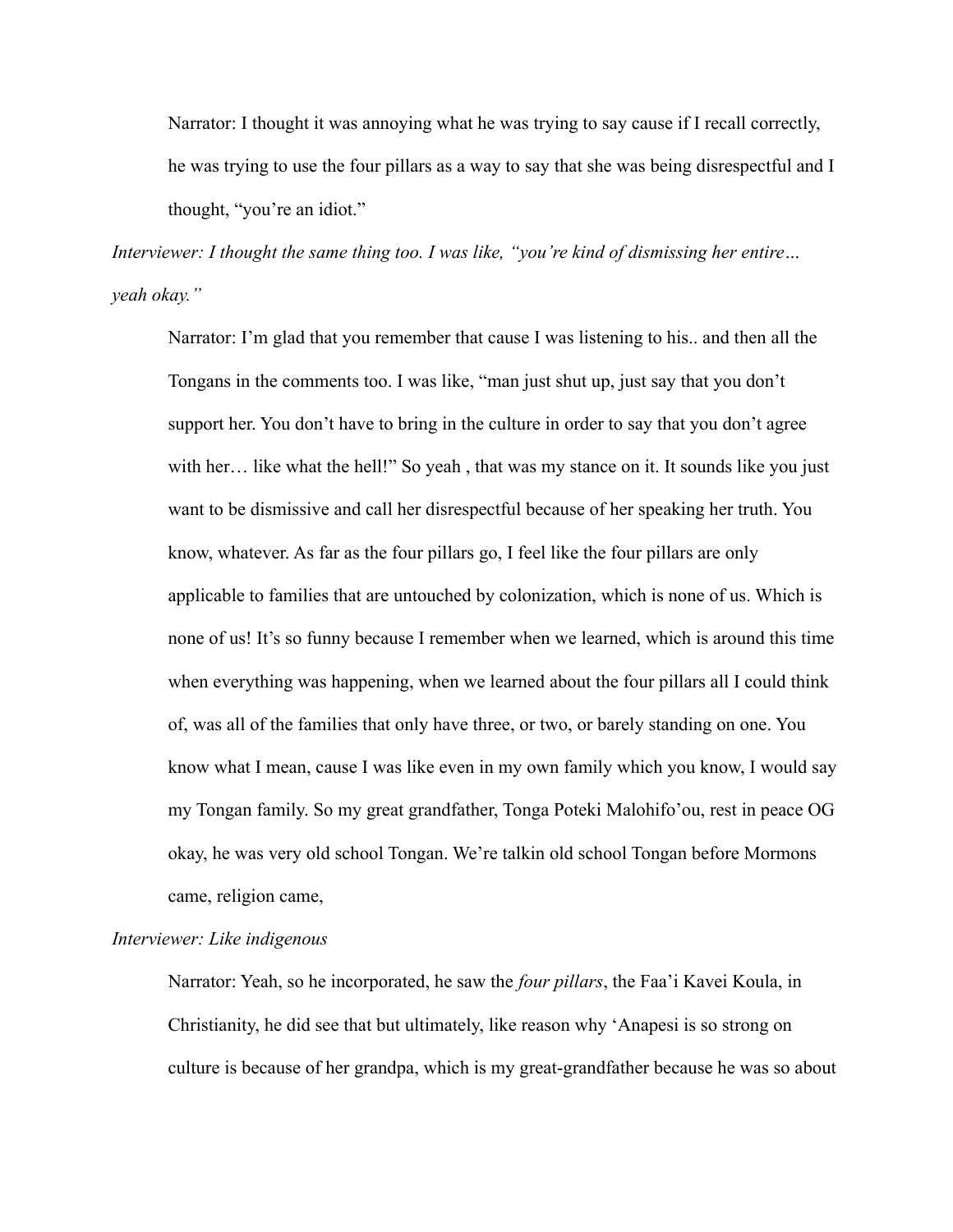Narrator: I thought it was annoying what he was trying to say cause if I recall correctly, he was trying to use the four pillars as a way to say that she was being disrespectful and I thought, "you're an idiot."

*Interviewer: I thought the same thing too. I was like, "you're kind of dismissing her entire… yeah okay."*

Narrator: I'm glad that you remember that cause I was listening to his.. and then all the Tongans in the comments too. I was like, "man just shut up, just say that you don't support her. You don't have to bring in the culture in order to say that you don't agree with her… like what the hell!" So yeah, that was my stance on it. It sounds like you just want to be dismissive and call her disrespectful because of her speaking her truth. You know, whatever. As far as the four pillars go, I feel like the four pillars are only applicable to families that are untouched by colonization, which is none of us. Which is none of us! It's so funny because I remember when we learned, which is around this time when everything was happening, when we learned about the four pillars all I could think of, was all of the families that only have three, or two, or barely standing on one. You know what I mean, cause I was like even in my own family which you know, I would say my Tongan family. So my great grandfather, Tonga Poteki Malohifo'ou, rest in peace OG okay, he was very old school Tongan. We're talkin old school Tongan before Mormons came, religion came,

# *Interviewer: Like indigenous*

Narrator: Yeah, so he incorporated, he saw the *four pillars*, the Faa'i Kavei Koula, in Christianity, he did see that but ultimately, like reason why 'Anapesi is so strong on culture is because of her grandpa, which is my great-grandfather because he was so about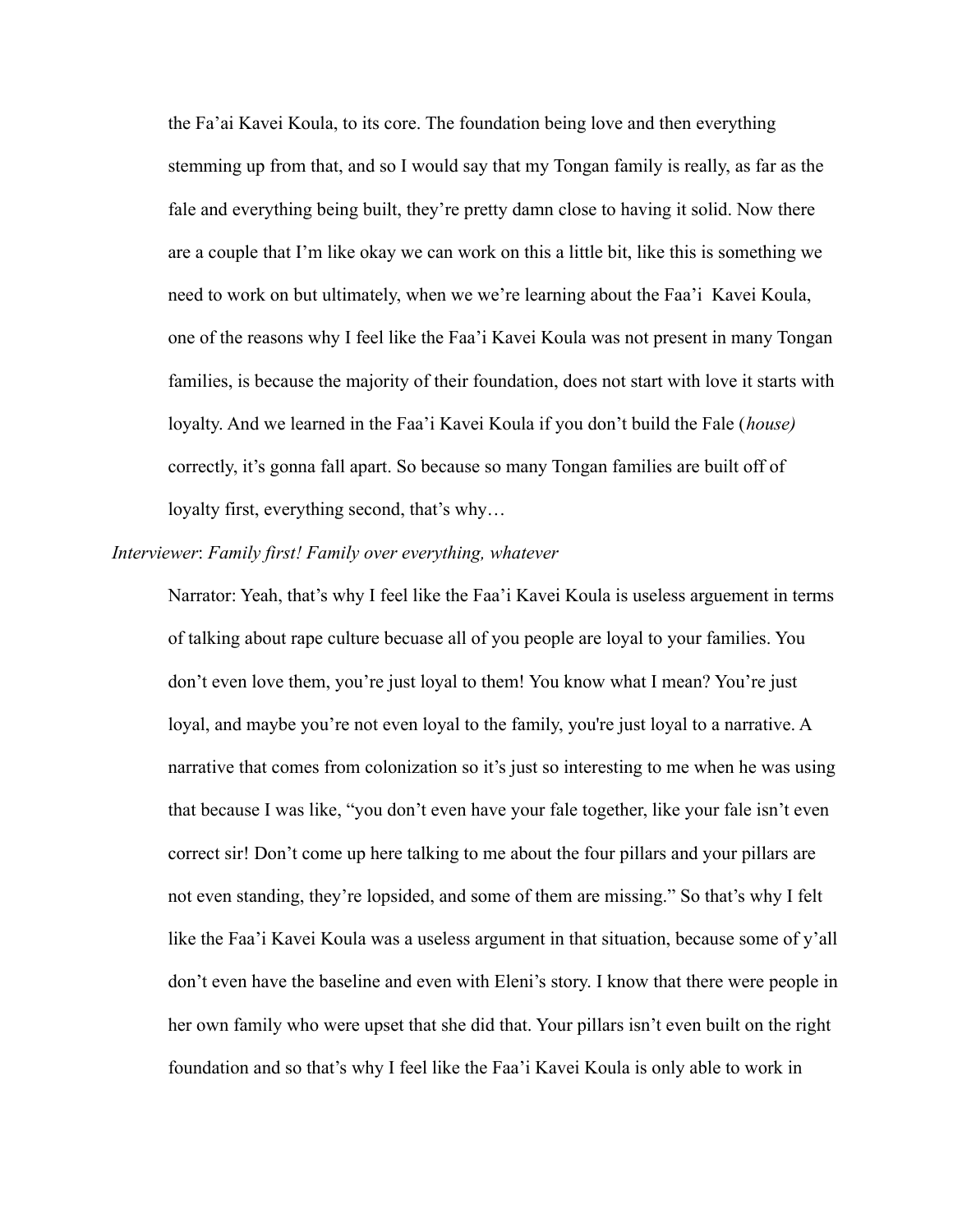the Fa'ai Kavei Koula, to its core. The foundation being love and then everything stemming up from that, and so I would say that my Tongan family is really, as far as the fale and everything being built, they're pretty damn close to having it solid. Now there are a couple that I'm like okay we can work on this a little bit, like this is something we need to work on but ultimately, when we we're learning about the Faa'i Kavei Koula, one of the reasons why I feel like the Faa'i Kavei Koula was not present in many Tongan families, is because the majority of their foundation, does not start with love it starts with loyalty. And we learned in the Faa'i Kavei Koula if you don't build the Fale (*house)* correctly, it's gonna fall apart. So because so many Tongan families are built off of loyalty first, everything second, that's why…

### *Interviewer*: *Family first! Family over everything, whatever*

Narrator: Yeah, that's why I feel like the Faa'i Kavei Koula is useless arguement in terms of talking about rape culture becuase all of you people are loyal to your families. You don't even love them, you're just loyal to them! You know what I mean? You're just loyal, and maybe you're not even loyal to the family, you're just loyal to a narrative. A narrative that comes from colonization so it's just so interesting to me when he was using that because I was like, "you don't even have your fale together, like your fale isn't even correct sir! Don't come up here talking to me about the four pillars and your pillars are not even standing, they're lopsided, and some of them are missing." So that's why I felt like the Faa'i Kavei Koula was a useless argument in that situation, because some of y'all don't even have the baseline and even with Eleni's story. I know that there were people in her own family who were upset that she did that. Your pillars isn't even built on the right foundation and so that's why I feel like the Faa'i Kavei Koula is only able to work in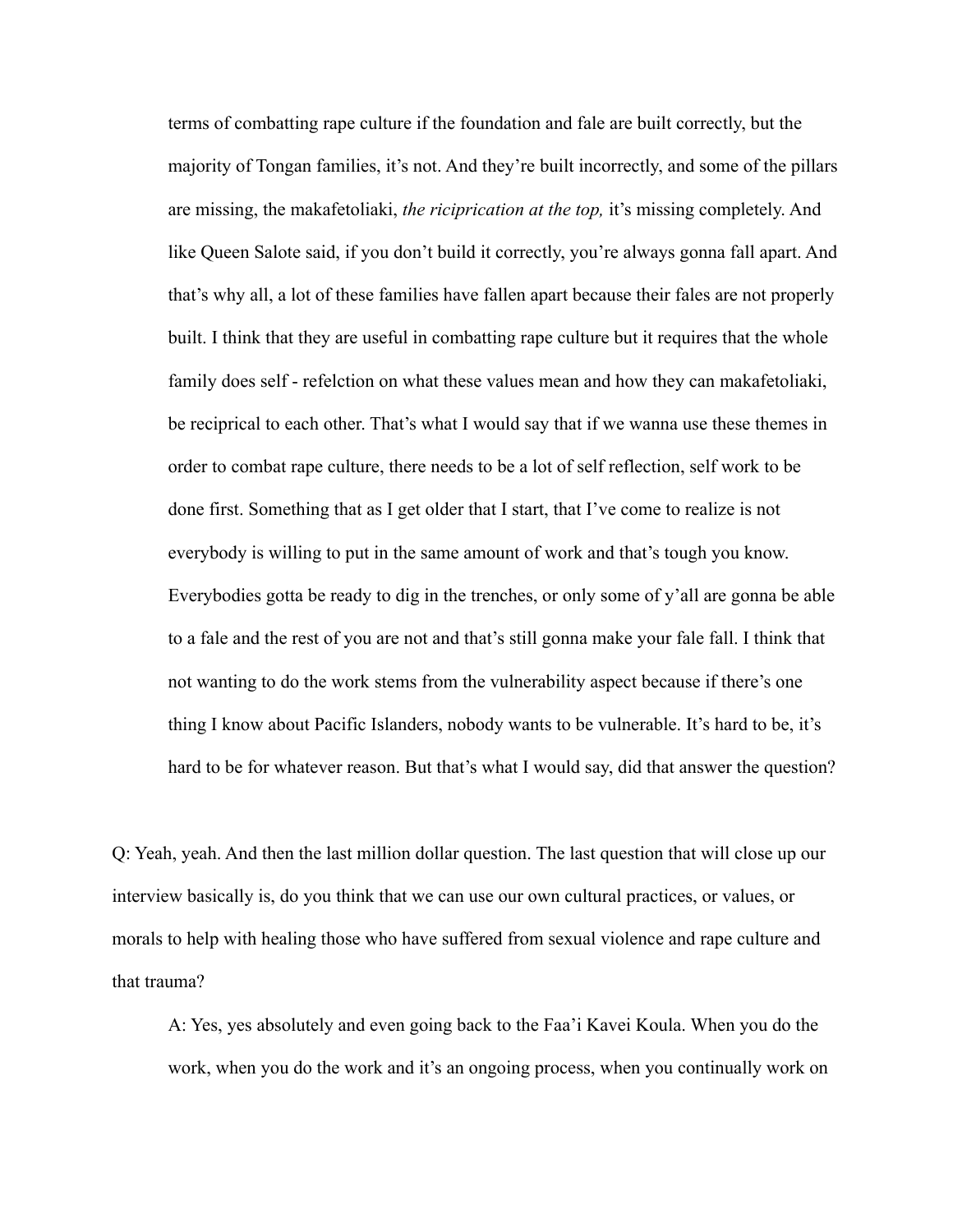terms of combatting rape culture if the foundation and fale are built correctly, but the majority of Tongan families, it's not. And they're built incorrectly, and some of the pillars are missing, the makafetoliaki, *the riciprication at the top,* it's missing completely. And like Queen Salote said, if you don't build it correctly, you're always gonna fall apart. And that's why all, a lot of these families have fallen apart because their fales are not properly built. I think that they are useful in combatting rape culture but it requires that the whole family does self - refelction on what these values mean and how they can makafetoliaki, be reciprical to each other. That's what I would say that if we wanna use these themes in order to combat rape culture, there needs to be a lot of self reflection, self work to be done first. Something that as I get older that I start, that I've come to realize is not everybody is willing to put in the same amount of work and that's tough you know. Everybodies gotta be ready to dig in the trenches, or only some of y'all are gonna be able to a fale and the rest of you are not and that's still gonna make your fale fall. I think that not wanting to do the work stems from the vulnerability aspect because if there's one thing I know about Pacific Islanders, nobody wants to be vulnerable. It's hard to be, it's hard to be for whatever reason. But that's what I would say, did that answer the question?

Q: Yeah, yeah. And then the last million dollar question. The last question that will close up our interview basically is, do you think that we can use our own cultural practices, or values, or morals to help with healing those who have suffered from sexual violence and rape culture and that trauma?

A: Yes, yes absolutely and even going back to the Faa'i Kavei Koula. When you do the work, when you do the work and it's an ongoing process, when you continually work on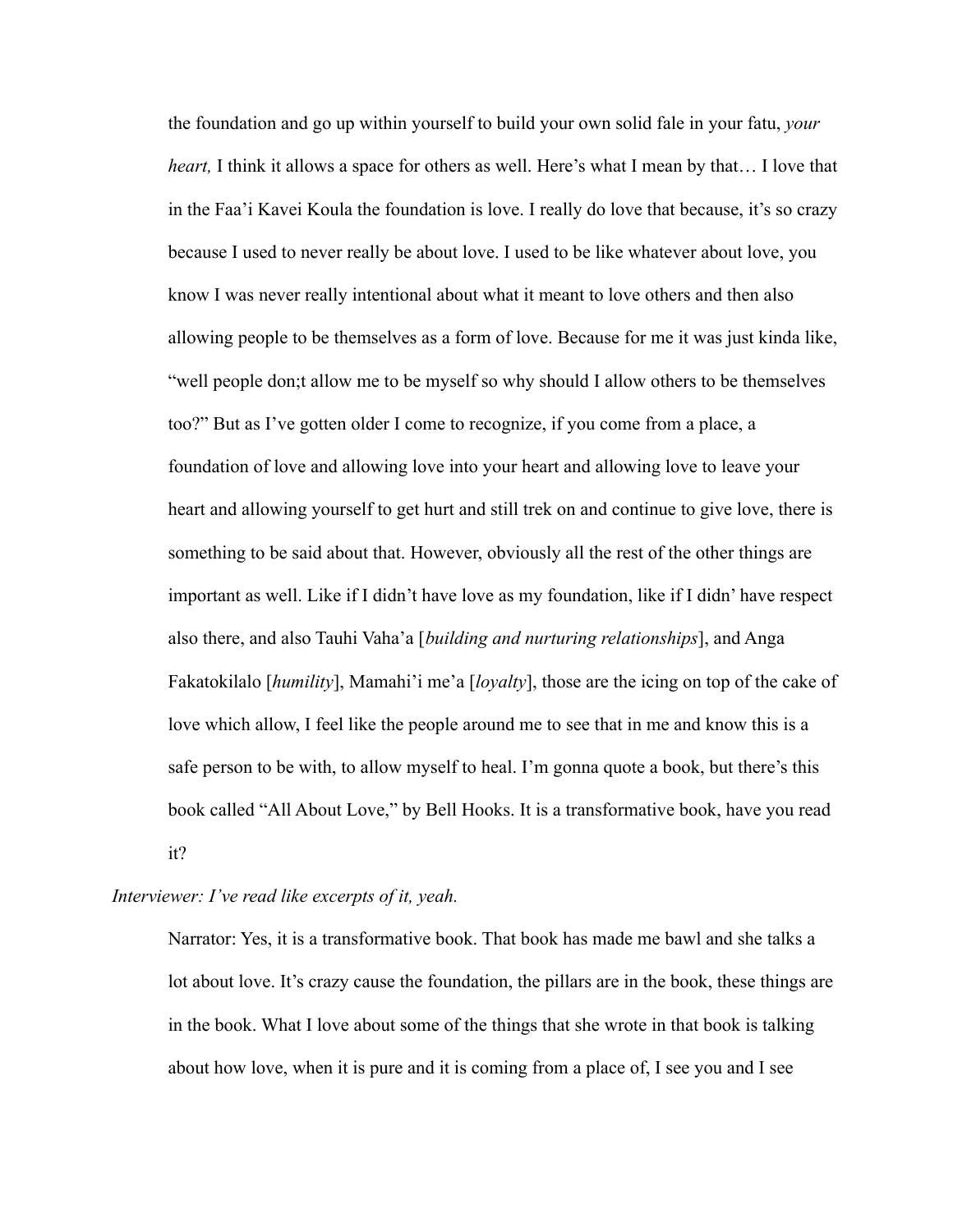the foundation and go up within yourself to build your own solid fale in your fatu, *your heart,* I think it allows a space for others as well. Here's what I mean by that… I love that in the Faa'i Kavei Koula the foundation is love. I really do love that because, it's so crazy because I used to never really be about love. I used to be like whatever about love, you know I was never really intentional about what it meant to love others and then also allowing people to be themselves as a form of love. Because for me it was just kinda like, "well people don;t allow me to be myself so why should I allow others to be themselves too?" But as I've gotten older I come to recognize, if you come from a place, a foundation of love and allowing love into your heart and allowing love to leave your heart and allowing yourself to get hurt and still trek on and continue to give love, there is something to be said about that. However, obviously all the rest of the other things are important as well. Like if I didn't have love as my foundation, like if I didn' have respect also there, and also Tauhi Vaha'a [*building and nurturing relationships*], and Anga Fakatokilalo [*humility*], Mamahi'i me'a [*loyalty*], those are the icing on top of the cake of love which allow, I feel like the people around me to see that in me and know this is a safe person to be with, to allow myself to heal. I'm gonna quote a book, but there's this book called "All About Love," by Bell Hooks. It is a transformative book, have you read it?

### *Interviewer: I've read like excerpts of it, yeah.*

Narrator: Yes, it is a transformative book. That book has made me bawl and she talks a lot about love. It's crazy cause the foundation, the pillars are in the book, these things are in the book. What I love about some of the things that she wrote in that book is talking about how love, when it is pure and it is coming from a place of, I see you and I see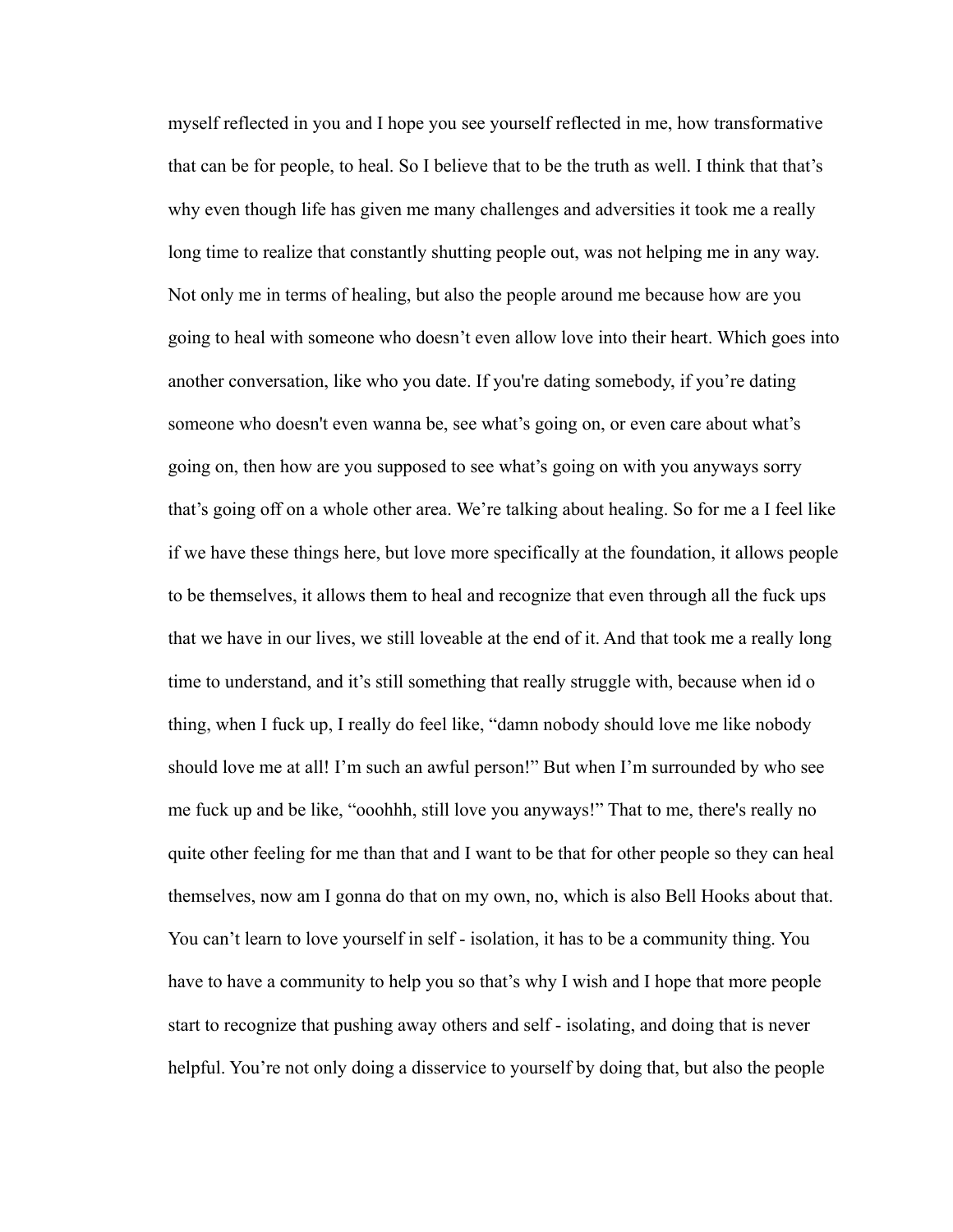myself reflected in you and I hope you see yourself reflected in me, how transformative that can be for people, to heal. So I believe that to be the truth as well. I think that that's why even though life has given me many challenges and adversities it took me a really long time to realize that constantly shutting people out, was not helping me in any way. Not only me in terms of healing, but also the people around me because how are you going to heal with someone who doesn't even allow love into their heart. Which goes into another conversation, like who you date. If you're dating somebody, if you're dating someone who doesn't even wanna be, see what's going on, or even care about what's going on, then how are you supposed to see what's going on with you anyways sorry that's going off on a whole other area. We're talking about healing. So for me a I feel like if we have these things here, but love more specifically at the foundation, it allows people to be themselves, it allows them to heal and recognize that even through all the fuck ups that we have in our lives, we still loveable at the end of it. And that took me a really long time to understand, and it's still something that really struggle with, because when id o thing, when I fuck up, I really do feel like, "damn nobody should love me like nobody should love me at all! I'm such an awful person!" But when I'm surrounded by who see me fuck up and be like, "ooohhh, still love you anyways!" That to me, there's really no quite other feeling for me than that and I want to be that for other people so they can heal themselves, now am I gonna do that on my own, no, which is also Bell Hooks about that. You can't learn to love yourself in self - isolation, it has to be a community thing. You have to have a community to help you so that's why I wish and I hope that more people start to recognize that pushing away others and self - isolating, and doing that is never helpful. You're not only doing a disservice to yourself by doing that, but also the people